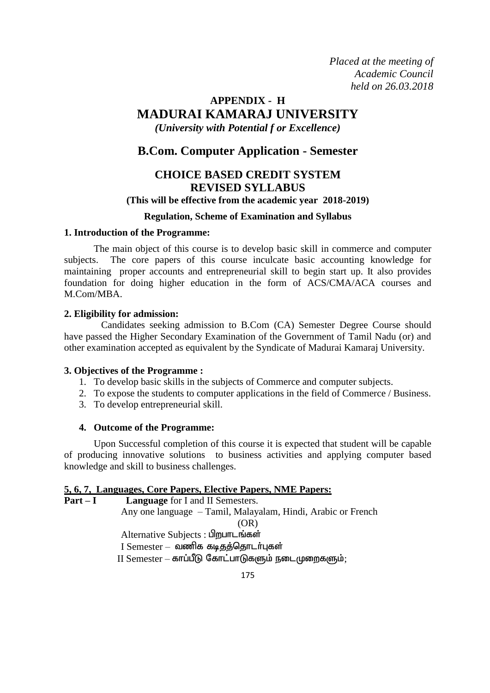*Placed at the meeting of Academic Council held on 26.03.2018*

# **APPENDIX - H MADURAI KAMARAJ UNIVERSITY** *(University with Potential f or Excellence)*

# **B.Com. Computer Application - Semester**

# **CHOICE BASED CREDIT SYSTEM REVISED SYLLABUS**

# **(This will be effective from the academic year 2018-2019)**

# **Regulation, Scheme of Examination and Syllabus**

# **1. Introduction of the Programme:**

The main object of this course is to develop basic skill in commerce and computer subjects. The core papers of this course inculcate basic accounting knowledge for maintaining proper accounts and entrepreneurial skill to begin start up. It also provides foundation for doing higher education in the form of ACS/CMA/ACA courses and M.Com/MBA.

# **2. Eligibility for admission:**

 Candidates seeking admission to B.Com (CA) Semester Degree Course should have passed the Higher Secondary Examination of the Government of Tamil Nadu (or) and other examination accepted as equivalent by the Syndicate of Madurai Kamaraj University.

#### **3. Objectives of the Programme :**

- 1. To develop basic skills in the subjects of Commerce and computer subjects.
- 2. To expose the students to computer applications in the field of Commerce / Business.
- 3. To develop entrepreneurial skill.

# **4. Outcome of the Programme:**

Upon Successful completion of this course it is expected that student will be capable of producing innovative solutions to business activities and applying computer based knowledge and skill to business challenges.

# **5, 6, 7, Languages, Core Papers, Elective Papers, NME Papers:**

**Language** for I and II Semesters. Any one language – Tamil, Malayalam, Hindi, Arabic or French (OR) Alternative Subjects: பிறபாடங்கள்  $I$  Semester – வணிக கடிதத்தொடர்புகள்  $II$  Semester – காப்பீடு கோட்பாடுகளும் நடைமுறைகளும்;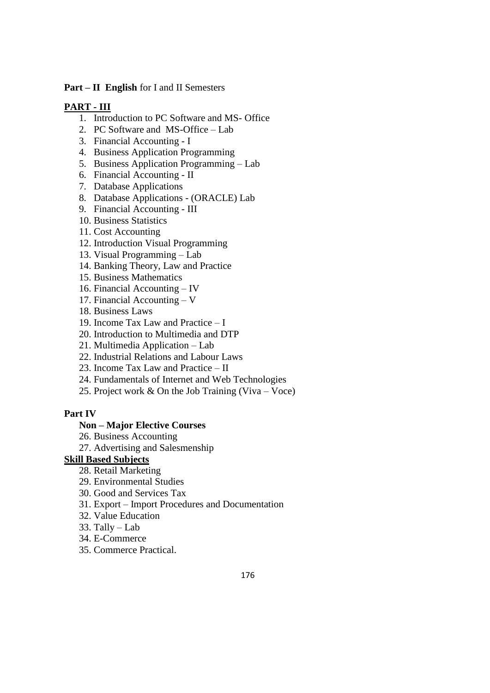# **Part – II English** for I and II Semesters

# **PART - III**

- 1. Introduction to PC Software and MS- Office
- 2. PC Software and MS-Office Lab
- 3. Financial Accounting I
- 4. Business Application Programming
- 5. Business Application Programming Lab
- 6. Financial Accounting II
- 7. Database Applications
- 8. Database Applications (ORACLE) Lab
- 9. Financial Accounting III
- 10. Business Statistics
- 11. Cost Accounting
- 12. Introduction Visual Programming
- 13. Visual Programming Lab
- 14. Banking Theory, Law and Practice
- 15. Business Mathematics
- 16. Financial Accounting IV
- 17. Financial Accounting V
- 18. Business Laws
- 19. Income Tax Law and Practice I
- 20. Introduction to Multimedia and DTP
- 21. Multimedia Application Lab
- 22. Industrial Relations and Labour Laws
- 23. Income Tax Law and Practice II
- 24. Fundamentals of Internet and Web Technologies
- 25. Project work & On the Job Training (Viva Voce)

# **Part IV**

# **Non – Major Elective Courses**

- 26. Business Accounting
- 27. Advertising and Salesmenship

# **Skill Based Subjects**

- 28. Retail Marketing
- 29. Environmental Studies
- 30. Good and Services Tax
- 31. Export Import Procedures and Documentation
- 32. Value Education
- 33. Tally Lab
- 34. E-Commerce
- 35. Commerce Practical.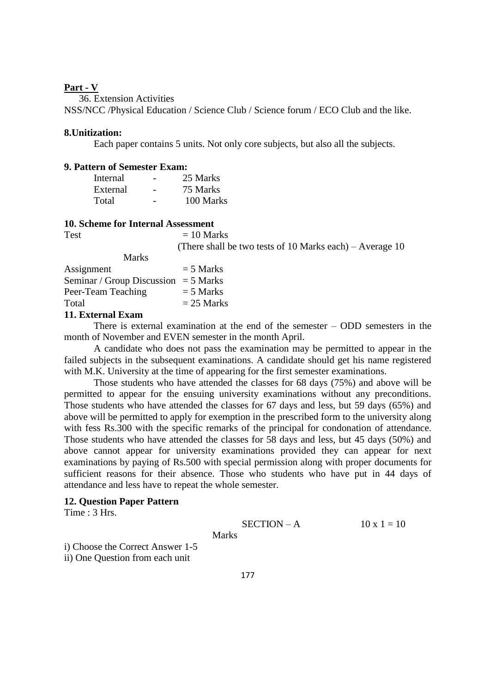#### **Part - V**

36. Extension Activities

NSS/NCC /Physical Education / Science Club / Science forum / ECO Club and the like.

#### **8.Unitization:**

Each paper contains 5 units. Not only core subjects, but also all the subjects.

#### **9. Pattern of Semester Exam:**

| Internal | - | 25 Marks  |
|----------|---|-----------|
| External |   | 75 Marks  |
| Total    |   | 100 Marks |

#### **10. Scheme for Internal Assessment**

 $Test = 10 Marks$ (There shall be two tests of 10 Marks each) – Average 10

| <b>Marks</b>                             |              |
|------------------------------------------|--------------|
| Assignment                               | $= 5$ Marks  |
| Seminar / Group Discussion = $5$ Marks   |              |
| Peer-Team Teaching                       | $=$ 5 Marks  |
| Total                                    | $= 25$ Marks |
| 11 $E_{\text{trivial}} E_{\text{trans}}$ |              |

#### **11. External Exam**

There is external examination at the end of the semester – ODD semesters in the month of November and EVEN semester in the month April.

A candidate who does not pass the examination may be permitted to appear in the failed subjects in the subsequent examinations. A candidate should get his name registered with M.K. University at the time of appearing for the first semester examinations.

Those students who have attended the classes for 68 days (75%) and above will be permitted to appear for the ensuing university examinations without any preconditions. Those students who have attended the classes for 67 days and less, but 59 days (65%) and above will be permitted to apply for exemption in the prescribed form to the university along with fess Rs.300 with the specific remarks of the principal for condonation of attendance. Those students who have attended the classes for 58 days and less, but 45 days (50%) and above cannot appear for university examinations provided they can appear for next examinations by paying of Rs.500 with special permission along with proper documents for sufficient reasons for their absence. Those who students who have put in 44 days of attendance and less have to repeat the whole semester.

# **12. Question Paper Pattern**

Time : 3 Hrs.

**SECTION - A** 
$$
10 \times 1 = 10
$$

Marks

i) Choose the Correct Answer 1-5

ii) One Question from each unit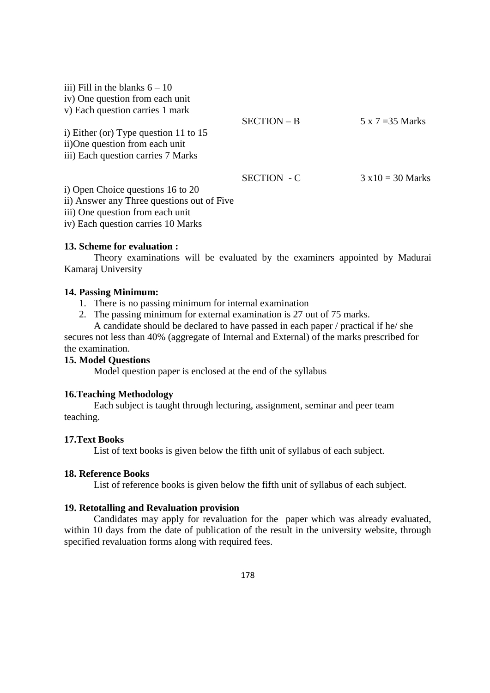| iii) Fill in the blanks $6 - 10$           |                    |                          |
|--------------------------------------------|--------------------|--------------------------|
| iv) One question from each unit            |                    |                          |
| v) Each question carries 1 mark            |                    |                          |
|                                            | SECTION - B        | $5 \times 7 = 35$ Marks  |
| i) Either (or) Type question 11 to $15$    |                    |                          |
| ii)One question from each unit             |                    |                          |
| iii) Each question carries 7 Marks         |                    |                          |
|                                            | <b>SECTION - C</b> | $3 \times 10 = 30$ Marks |
| i) Open Choice questions 16 to 20          |                    |                          |
| ii) Answer any Three questions out of Five |                    |                          |
| iii) One question from each unit           |                    |                          |

iv) Each question carries 10 Marks

### **13. Scheme for evaluation :**

Theory examinations will be evaluated by the examiners appointed by Madurai Kamaraj University

### **14. Passing Minimum:**

- 1. There is no passing minimum for internal examination
- 2. The passing minimum for external examination is 27 out of 75 marks. A candidate should be declared to have passed in each paper / practical if he/ she

secures not less than 40% (aggregate of Internal and External) of the marks prescribed for the examination.

# **15. Model Questions**

Model question paper is enclosed at the end of the syllabus

# **16.Teaching Methodology**

Each subject is taught through lecturing, assignment, seminar and peer team teaching.

# **17.Text Books**

List of text books is given below the fifth unit of syllabus of each subject.

#### **18. Reference Books**

List of reference books is given below the fifth unit of syllabus of each subject.

#### **19. Retotalling and Revaluation provision**

Candidates may apply for revaluation for the paper which was already evaluated, within 10 days from the date of publication of the result in the university website, through specified revaluation forms along with required fees.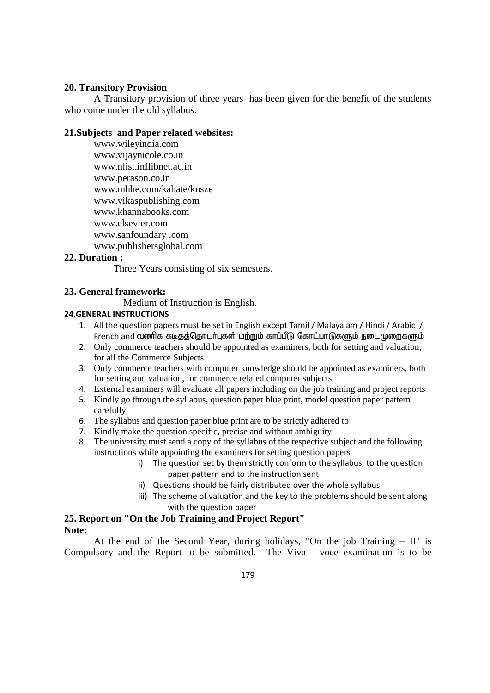# **20. Transitory Provision**

A Transitory provision of three years has been given for the benefit of the students who come under the old syllabus.

# **21.Subjects and Paper related websites:**

www.wileyindia.com www.vijaynicole.co.in www.nlist.inflibnet.ac.in www.perason.co.in www.mhhe.com/kahate/knsze www.vikaspublishing.com www.khannabooks.com www.elsevier.com www.sanfoundary .com www.publishersglobal.com

# **22. Duration :**

Three Years consisting of six semesters.

# **23. General framework:**

Medium of Instruction is English.

#### **24.GENERAL INSTRUCTIONS**

- 1. All the question papers must be set in English except Tamil / Malayalam / Hindi / Arabic / French and வணிக கடிதத்தொடர்புகள் மற்றும் காப்பீடு கோட்பாடுகளும் நடைமுறைகளும்
- 2. Only commerce teachers should be appointed as examiners, both for setting and valuation, for all the Commerce Subjects
- 3. Only commerce teachers with computer knowledge should be appointed as examiners, both for setting and valuation, for commerce related computer subjects
- 4. External examiners will evaluate all papers including on the job training and project reports
- 5. Kindly go through the syllabus, question paper blue print, model question paper pattern carefully
- 6. The syllabus and question paper blue print are to be strictly adhered to
- 7. Kindly make the question specific, precise and without ambiguity
- 8. The university must send a copy of the syllabus of the respective subject and the following instructions while appointing the examiners for setting question papers
	- i) The question set by them strictly conform to the syllabus, to the question paper pattern and to the instruction sent
	- ii) Questions should be fairly distributed over the whole syllabus
	- iii) The scheme of valuation and the key to the problems should be sent along with the question paper

#### **25. Report on "On the Job Training and Project Report" Note:**

At the end of the Second Year, during holidays, "On the job Training – II" is Compulsory and the Report to be submitted. The Viva - voce examination is to be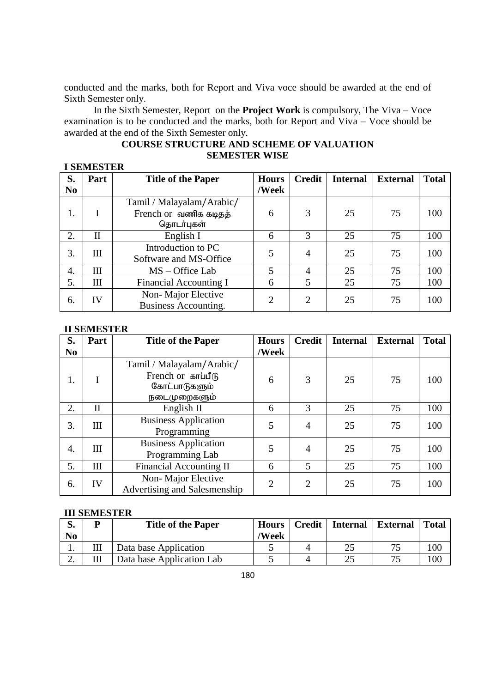conducted and the marks, both for Report and Viva voce should be awarded at the end of Sixth Semester only.

In the Sixth Semester, Report on the **Project Work** is compulsory, The Viva – Voce examination is to be conducted and the marks, both for Report and Viva – Voce should be awarded at the end of the Sixth Semester only.

# **COURSE STRUCTURE AND SCHEME OF VALUATION SEMESTER WISE**

| <b>I SEMESTER</b> |              |                               |                |                |                 |                 |              |     |
|-------------------|--------------|-------------------------------|----------------|----------------|-----------------|-----------------|--------------|-----|
| S.                | Part         | <b>Title of the Paper</b>     | <b>Hours</b>   | <b>Credit</b>  | <b>Internal</b> | <b>External</b> | <b>Total</b> |     |
| N <sub>0</sub>    |              |                               | /Week          |                |                 |                 |              |     |
|                   |              | Tamil / Malayalam/Arabic/     |                |                |                 |                 |              |     |
| 1.                |              | French or வணிக கடிதத்         | 6              | 3              | 25              | 75              | 100          |     |
|                   |              | தொடர்புகள்                    |                |                |                 |                 |              |     |
| 2.                | $\mathbf{I}$ | English I                     | 6              | 3              | 25              | 75              | 100          |     |
| 3.                | Ш            | Introduction to PC            | 5              |                | $\overline{4}$  | 25              | 75           | 100 |
|                   |              | Software and MS-Office        |                |                |                 |                 |              |     |
| 4.                | Ш            | MS – Office Lab               | 5              | $\overline{4}$ | 25              | 75              | 100          |     |
| 5.                | Ш            | <b>Financial Accounting I</b> | 6              | 5              | 25              | 75              | 100          |     |
| 6.                | IV           | Non-Major Elective            |                | $\overline{2}$ | 25              | 75              | 100          |     |
|                   |              | Business Accounting.          | $\overline{2}$ |                |                 |                 |              |     |

#### **II SEMESTER**

| S.             | Part         | <b>Title of the Paper</b>                                                        | <b>Hours</b>   | <b>Credit</b>  | <b>Internal</b> | <b>External</b> | <b>Total</b> |
|----------------|--------------|----------------------------------------------------------------------------------|----------------|----------------|-----------------|-----------------|--------------|
| N <sub>0</sub> |              |                                                                                  | /Week          |                |                 |                 |              |
| 1.             |              | Tamil / Malayalam/Arabic/<br>French or காப்பீடு<br>கோட்பாடுகளும்<br>நடைமுறைகளும் | 6              | 3              | 25              | 75              | 100          |
| 2.             | $\mathbf{I}$ | English II                                                                       | 6              | 3              | 25              | 75              | 100          |
| 3.             | Ш            | <b>Business Application</b><br>Programming                                       | 5              | 4              | 25              | 75              | 100          |
| 4.             | Ш            | <b>Business Application</b><br>Programming Lab                                   | 5              | 4              | 25              | 75              | 100          |
| 5.             | III          | <b>Financial Accounting II</b>                                                   | 6              | 5              | 25              | 75              | 100          |
| 6.             | IV           | Non-Major Elective<br>Advertising and Salesmenship                               | $\overline{2}$ | $\overline{2}$ | 25              | 75              | 100          |

#### **III SEMESTER**

| ŋ.<br>No | ח | <b>Title of the Paper</b> | <b>Hours</b><br>/Week | Credit   Internal | <b>External</b> | <b>Total</b> |
|----------|---|---------------------------|-----------------------|-------------------|-----------------|--------------|
| .,       |   | Data base Application     |                       | 25                | 75              | 100          |
| ـ ت      |   | Data base Application Lab |                       |                   | 75              | 100          |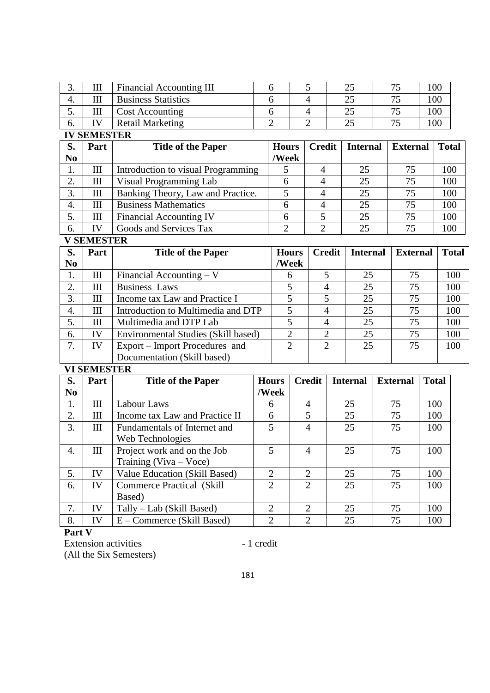| J. | 111         | <b>Financial Accounting III</b> |  | ت | ית ב | 00 |
|----|-------------|---------------------------------|--|---|------|----|
| 4. |             | <b>Business Statistics</b>      |  |   |      | 00 |
| J. | 111         | <b>Cost Accounting</b>          |  |   |      | 00 |
| O. | $T$ $T$ $T$ | <b>Retail Marketing</b>         |  |   |      | 00 |

**IV SEMESTER** 

| S.             | Part | <b>Title of the Paper</b>          | <b>Hours</b> | <b>Credit</b> | <b>Internal</b> | <b>External</b> | <b>Total</b> |
|----------------|------|------------------------------------|--------------|---------------|-----------------|-----------------|--------------|
| N <sub>0</sub> |      |                                    | /Week        |               |                 |                 |              |
| 1.             | Ш    | Introduction to visual Programming |              |               | 25              | 75              | 100          |
| 2.             | Ш    | Visual Programming Lab             |              |               | 25              | 75              | 100          |
| 3.             | Ш    | Banking Theory, Law and Practice.  |              |               | 25              | 75              | 100          |
| 4.             | Ш    | <b>Business Mathematics</b>        | 6            |               | 25              | 75              | 100          |
| 5.             | Ш    | <b>Financial Accounting IV</b>     |              |               | 25              | 75              | 100          |
| 6.             | IV   | Goods and Services Tax             |              |               | 25              | 75              | 100          |

**V SEMESTER** 

| S.             | Part | <b>Title of the Paper</b>           | <b>Hours</b> | <b>Credit</b> | <b>Internal</b> | <b>External</b> | <b>Total</b> |
|----------------|------|-------------------------------------|--------------|---------------|-----------------|-----------------|--------------|
| N <sub>0</sub> |      |                                     | /Week        |               |                 |                 |              |
| 1.             | Ш    | Financial Accounting $-V$           | 6            |               | 25              | 75              | 100          |
| $\mathcal{L}$  | Ш    | <b>Business Laws</b>                |              | 4             | 25              | 75              | 100          |
| 3.             | Ш    | Income tax Law and Practice I       |              |               | 25              | 75              | 100          |
| 4.             | Ш    | Introduction to Multimedia and DTP  | 5            | 4             | 25              | 75              | 100          |
| 5.             | Ш    | Multimedia and DTP Lab              |              | 4             | 25              | 75              | 100          |
| 6.             | IV   | Environmental Studies (Skill based) | ◠            | ◠             | 25              | 75              | 100          |
|                | IV   | Export – Import Procedures and      | ↑            | ◠             | 25              | 75              | 100          |
|                |      | Documentation (Skill based)         |              |               |                 |                 |              |

# **VI SEMESTER**

| S.             | Part | <b>Title of the Paper</b>         | <b>Hours</b>                | <b>Credit</b>               | <b>Internal</b> | <b>External</b> | <b>Total</b> |
|----------------|------|-----------------------------------|-----------------------------|-----------------------------|-----------------|-----------------|--------------|
| N <sub>0</sub> |      |                                   | /Week                       |                             |                 |                 |              |
| 1.             | Ш    | Labour Laws                       | 6                           | 4                           | 25              | 75              | 100          |
| 2.             | Ш    | Income tax Law and Practice II    | 6                           | 5                           | 25              | 75              | 100          |
| 3.             | Ш    | Fundamentals of Internet and      | 5                           | 4                           | 25              | 75              | 100          |
|                |      | Web Technologies                  |                             |                             |                 |                 |              |
| 4.             | III  | Project work and on the Job       | 5                           | 4                           | 25              | 75              | 100          |
|                |      | Training $(Viva - Voce)$          |                             |                             |                 |                 |              |
| 5.             | IV   | Value Education (Skill Based)     | $\overline{2}$              | $\overline{2}$              | 25              | 75              | 100          |
| 6.             | IV   | <b>Commerce Practical (Skill)</b> | $\mathcal{D}_{\mathcal{L}}$ | $\mathcal{D}_{\mathcal{L}}$ | 25              | 75              | 100          |
|                |      | Based)                            |                             |                             |                 |                 |              |
| 7.             | IV   | Tally – Lab (Skill Based)         | $\overline{2}$              | $\mathcal{D}_{\cdot}$       | 25              | 75              | 100          |
| 8.             | IV   | E – Commerce (Skill Based)        | $\overline{2}$              | $\overline{2}$              | 25              | 75              | 100          |

**Part V**

Extension activities - 1 credit (All the Six Semesters)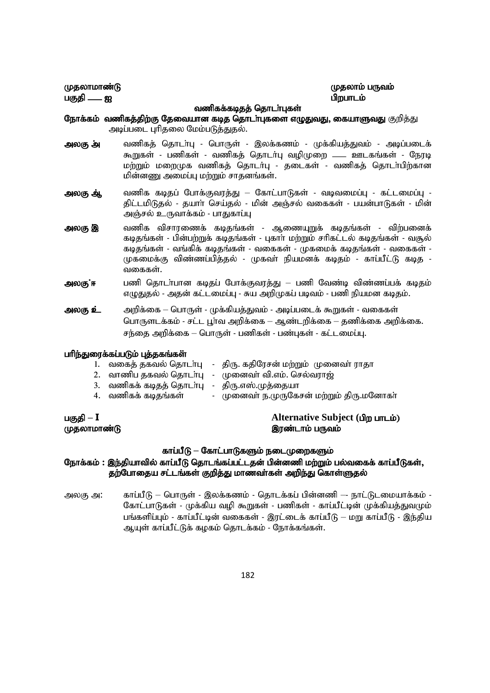பகுதி — ஐ பார் மான் மான் மான் மான் மான் பிறபாடம்

# (மதலாமாண்டு கூட்டி) குறைவரும் படுத்து முற்று குறிப்பது முதலாம் பருவம்

#### வணிகக்கடிதத் தொடர்புகள்

- நோக்கம் வணிகத்திற்கு தேவையான கடித தொடர்புகளை எழுதுவது, கையாளுவது குறித்து அடிப்படை புரிதலை மேம்படுத்துதல்.
- அலகு அ் வணிகத் தொடா்பு பொருள் இலக்கணம் முக்கியத்துவம் அடிப்படைக் கூறுகள் - பணிகள் - வணிகத் தொடர்பு வழிமுறை —— ஊடகங்கள் - நேரடி மற்றும் மறைமுக வணிகத் தொடர்பு - தடைகள் - வணிகத் தொடா்பிற்கான மின்னணு அமைப்பு மற்றும் சாதனங்கள்.
- அலகு ஆ், வணிக கடிதப் போக்குவரத்து கோட்பாடுகள் வடிவமைப்பு கட்டமைப்பு -திட்டமிடுதல் - தயாா் செய்தல் - மின் அஞ்சல் வகைகள் - பயன்பாடுகள் - மின் அஞ்சல் உருவாக்கம் - பாதுகாப்பு
- <mark>அலகு இ</mark> வணிக விசாரணைக் கடிதங்கள் ஆணையுறுக் கடிதங்கள் விற்பனைக் கடிதங்கள் - பின்பற்றுக் கடிதங்கள் - புகாா் மற்றும் சாிகட்டல் கடிதங்கள் - வசூல் கடிதங்கள் - வங்கிக் கடிதங்கள் - வகைகள் - முகமைக் கடிதங்கள் - வகைகள் -முகமைக்கு விண்ணப்பிக்கல் - முகவா் நியமனக் கடிகம் - காப்பீட்டு கடிக -வகைகள்.
- அலகு ்ஈ பணி தொடா்பான கடிதப் போக்குவரத்து பணி வேண்டி விண்ணப்பக் கடிதம் எழுதுதல் - அதன் கட்டமைப்பு - சுய அறிமுகப் படிவம் - பணி நியமன கடிதம்.
- <mark>அலகு உ்</mark>: அறிக்கை பொருள் முக்கியத்துவம் அடிப்படைக் கூறுகள் வகைகள் பொருளடக்கம் - சட்ட பூர்வ அறிக்கை – ஆண்டறிக்கை – தணிக்கை அறிக்கை. சந்தை அறிக்கை – பொருள் - பணிகள் - பண்புகள் - கட்டமைப்பு.

#### பரிந்துரைக்கப்படும் புத்தகங்கள்

|                                                    | 1. வகைத் தகவல் தொடா்பு - திரு. கதிரேசன் மற்றும் முனைவா் ராதா |
|----------------------------------------------------|--------------------------------------------------------------|
|                                                    | 2. வாணிப தகவல் தொடா்பு   - முனைவா் வி.எம். செல்வராஜ்         |
| 3.   வணிகக் கடிதத் தொடா்பு   -   திரு.எஸ்.முத்தையா |                                                              |
| 4. வணிகக் கடிதங்கள்                                | - முனைவா் ந.முருகேசன் மற்றும் திரு.மனோகா்                    |
|                                                    |                                                              |

gFjp **– I Alternative Subject (**gpw ghlk;) முதலாமாண்டு கால் முதலாமாம் பருவம்

#### காப்பீடு – கோட்பாடுகளும் நடைமுறைகளும்

# நோக்கம் : இந்தியாவில் காப்பீடு தொடங்கப்பட்டதன் பின்னணி மற்றும் பல்வகைக் காப்பீடுகள், தற்போதைய சட்டங்கள் குறித்து மாணவா்கள் அறிந்து கொள்ளுதல்

அலகு அ: காப்பீடு – பொருள் - இலக்கணம் - தொடக்கப் பின்னணி — நாட்டுடமையாக்கம் -கோட்பாடுகள் - முக்கிய வழி கூறுகள் - பணிகள் - காப்பீட்டின் முக்கியத்துவமும் பங்களிப்பும் - காப்பீட்டின் வகைகள் - இரட்டைக் காப்பீடு – மறு காப்பீடு - இந்திய ஆயுள் காப்பீட்டுக் கழகம் தொடக்கம் - நோக்கங்கள்.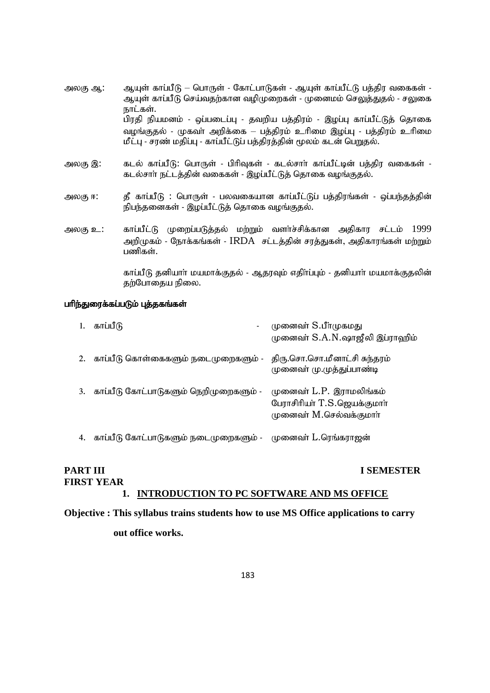- அலகு ஆ: அடியுள் காப்பீடு பொருள் கோட்பாடுகள் ஆயுள் காப்பீட்டு பத்திர வகைகள் -ஆயுள் காப்பீடு செய்வதற்கான வழிமுறைகள் - முனைமம் செலுத்துதல் - சலுகை நாட்கள். பிரதி நியமனம் - ஒப்படைப்பு - தவறிய பத்திரம் - இழப்பு காப்பீட்டுத் தொகை வழங்குதல் - முகவா் அறிக்கை – பத்திரம் உாிமை இழப்பு - பத்திரம் உாிமை மீட்பு - சரண் மதிப்பு - காப்பீட்டுப் பத்திரத்தின் மூலம் கடன் பெறுதல்.
- அலகு இ: கடல் காப்பீடு: பொருள் பிரிவுகள் கடல்சாா் காப்பீட்டின் பத்திர வகைகள் -கடல்சாா் நட்டத்தின் வகைகள் - இழப்பீட்டுத் தொகை வழங்குதல்.
- அலகு ஈ: கீ காப்பீடு : பொருள் பலவகையான காப்பீட்டுப் பத்திரங்கள் ஒப்பந்தத்தின் நிபந்தனைகள் - இழப்பீட்டுத் தொகை வழங்குதல்.
- அலகு உ: காப்பீட்டு முறைப்படுத்தல் மற்றும் வளர்ச்சிக்கான அதிகார சட்டம் 1999 அறிமுகம் - நோக்கங்கள் - IRDA சட்டத்தின் சரத்துகள், அதிகாரங்கள் மற்றும் பணிகள்.

காப்பீடு தனியாா் மயமாக்குதல் - ஆதரவும் எதிா்ப்பும் - தனியாா் மயமாக்குதலின் தற்போதைய நிலை.

#### பரிந்துரைக்கப்படும் புத்தகங்கள்

| 1. | காப்பீடு                                                      | முனைவா் S.பீாமுகமது<br>முனைவா் S.A.N.ஷாஜீலி இப்ராஹிம்                              |
|----|---------------------------------------------------------------|------------------------------------------------------------------------------------|
| 2. | காப்பீடு கொள்கைகளும் நடைமுறைகளும் -                           | திரு.சொ.சொ.மீனாட்சி சுந்தரம்<br>முனைவா் மு.முத்துப்பாண்டி                          |
| 3. | காப்பீடு கோட்பாடுகளும் நெறிமுறைகளும் -                        | முனைவா் L.P. இராமலிங்கம்<br>பேராசிரியா் T.S.ஜெயக்குமாா்<br>முனைவா் M.செல்வக்குமாா் |
| 4. | காப்பீடு கோட்பாடுகளும் நடைமுறைகளும் -    முனைவா் L.ரெங்கராஜன் |                                                                                    |

# **PART III I SEMESTER FIRST YEAR**

# **1. INTRODUCTION TO PC SOFTWARE AND MS OFFICE**

# **Objective : This syllabus trains students how to use MS Office applications to carry**

 **out office works.**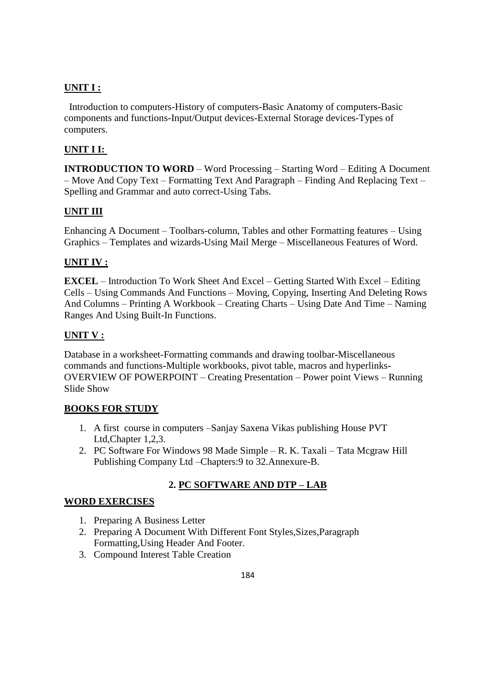# **UNIT I :**

 Introduction to computers-History of computers-Basic Anatomy of computers-Basic components and functions-Input/Output devices-External Storage devices-Types of computers.

# **UNIT I I:**

**INTRODUCTION TO WORD** – Word Processing – Starting Word – Editing A Document – Move And Copy Text – Formatting Text And Paragraph – Finding And Replacing Text – Spelling and Grammar and auto correct-Using Tabs.

# **UNIT III**

Enhancing A Document – Toolbars-column, Tables and other Formatting features – Using Graphics – Templates and wizards-Using Mail Merge – Miscellaneous Features of Word.

# **UNIT IV :**

**EXCEL** – Introduction To Work Sheet And Excel – Getting Started With Excel – Editing Cells – Using Commands And Functions – Moving, Copying, Inserting And Deleting Rows And Columns – Printing A Workbook – Creating Charts – Using Date And Time – Naming Ranges And Using Built-In Functions.

# **UNIT V :**

Database in a worksheet-Formatting commands and drawing toolbar-Miscellaneous commands and functions-Multiple workbooks, pivot table, macros and hyperlinks-OVERVIEW OF POWERPOINT – Creating Presentation – Power point Views – Running Slide Show

# **BOOKS FOR STUDY**

- 1. A first course in computers –Sanjay Saxena Vikas publishing House PVT Ltd,Chapter 1,2,3.
- 2. PC Software For Windows 98 Made Simple R. K. Taxali Tata Mcgraw Hill Publishing Company Ltd –Chapters:9 to 32.Annexure-B.

# **2. PC SOFTWARE AND DTP – LAB**

# **WORD EXERCISES**

- 1. Preparing A Business Letter
- 2. Preparing A Document With Different Font Styles,Sizes,Paragraph Formatting,Using Header And Footer.
- 3. Compound Interest Table Creation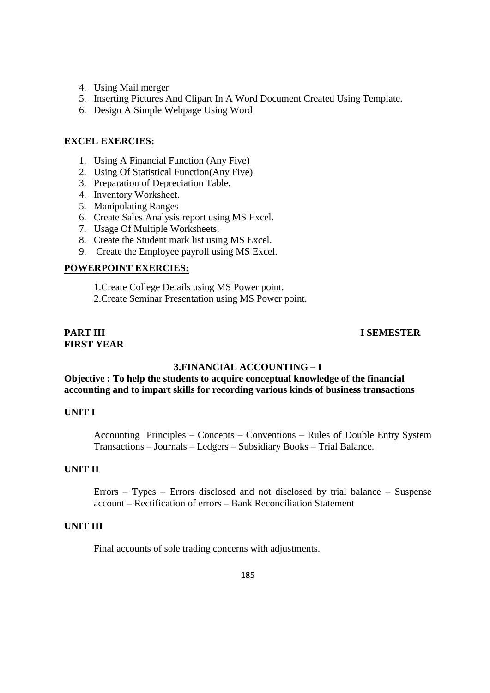- 4. Using Mail merger
- 5. Inserting Pictures And Clipart In A Word Document Created Using Template.
- 6. Design A Simple Webpage Using Word

# **EXCEL EXERCIES:**

- 1. Using A Financial Function (Any Five)
- 2. Using Of Statistical Function(Any Five)
- 3. Preparation of Depreciation Table.
- 4. Inventory Worksheet.
- 5. Manipulating Ranges
- 6. Create Sales Analysis report using MS Excel.
- 7. Usage Of Multiple Worksheets.
- 8. Create the Student mark list using MS Excel.
- 9. Create the Employee payroll using MS Excel.

# **POWERPOINT EXERCIES:**

1.Create College Details using MS Power point.

2.Create Seminar Presentation using MS Power point.

# **FIRST YEAR**

# **PART III I SEMESTER**

# **3.FINANCIAL ACCOUNTING – I**

# **Objective : To help the students to acquire conceptual knowledge of the financial accounting and to impart skills for recording various kinds of business transactions**

#### **UNIT I**

Accounting Principles – Concepts – Conventions – Rules of Double Entry System Transactions – Journals – Ledgers – Subsidiary Books – Trial Balance.

#### **UNIT II**

Errors – Types – Errors disclosed and not disclosed by trial balance – Suspense account – Rectification of errors – Bank Reconciliation Statement

#### **UNIT III**

Final accounts of sole trading concerns with adjustments.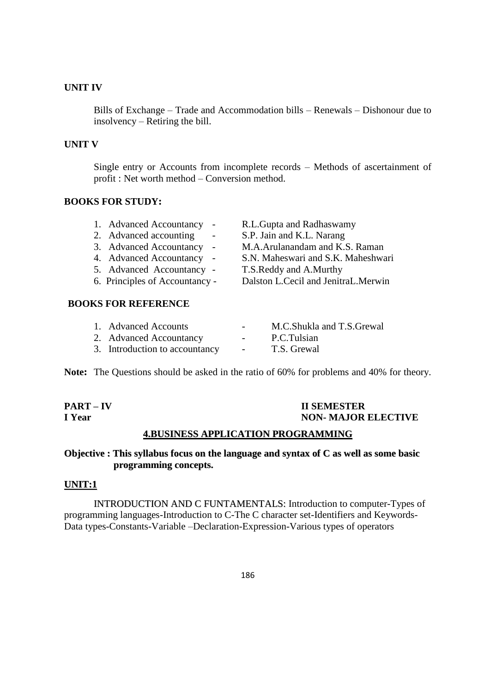# **UNIT IV**

Bills of Exchange – Trade and Accommodation bills – Renewals – Dishonour due to insolvency – Retiring the bill.

# **UNIT V**

Single entry or Accounts from incomplete records – Methods of ascertainment of profit : Net worth method – Conversion method.

#### **BOOKS FOR STUDY:**

| 1. Advanced Accountancy<br>$\sim$ |            | R.L.Gupta and Radhaswamy            |
|-----------------------------------|------------|-------------------------------------|
| 2. Advanced accounting            | $\sim$     | S.P. Jain and K.L. Narang           |
| 3. Advanced Accountancy           | $\sim$ $-$ | M.A.Arulanandam and K.S. Raman      |
| 4. Advanced Accountancy           |            | S.N. Maheswari and S.K. Maheshwari  |
| 5. Advanced Accountancy -         |            | T.S.Reddy and A.Murthy              |
| 6. Principles of Accountancy -    |            | Dalston L.Cecil and JenitraL.Merwin |
|                                   |            |                                     |

# **BOOKS FOR REFERENCE**

| 1. Advanced Accounts           | $\overline{\phantom{0}}$ | M.C.Shukla and T.S.Grewal |
|--------------------------------|--------------------------|---------------------------|
| 2. Advanced Accountancy        | $\sim$ 100 $\mu$         | P.C.Tulsian               |
| 3. Introduction to accountancy | $\sim$                   | T.S. Grewal               |

**Note:** The Questions should be asked in the ratio of 60% for problems and 40% for theory.

**PART – IV II SEMESTER I Year NON- MAJOR ELECTIVE**

# **4.BUSINESS APPLICATION PROGRAMMING**

# **Objective : This syllabus focus on the language and syntax of C as well as some basic programming concepts.**

# **UNIT:1**

INTRODUCTION AND C FUNTAMENTALS: Introduction to computer-Types of programming languages-Introduction to C-The C character set-Identifiers and Keywords-Data types-Constants-Variable –Declaration-Expression-Various types of operators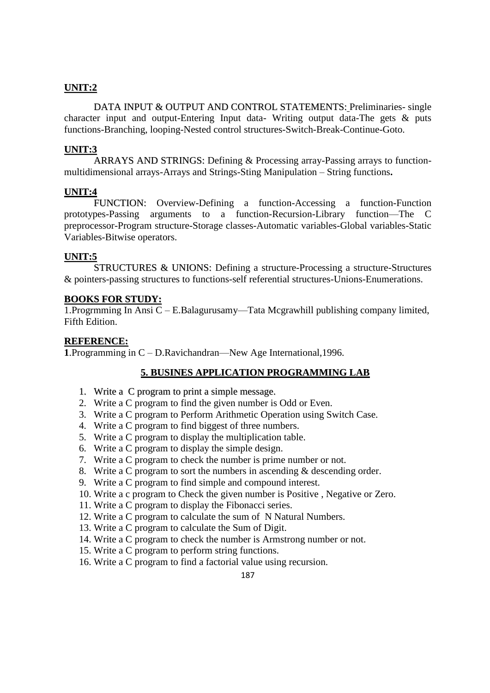# **UNIT:2**

DATA INPUT & OUTPUT AND CONTROL STATEMENTS: Preliminaries- single character input and output-Entering Input data- Writing output data-The gets & puts functions-Branching, looping-Nested control structures-Switch-Break-Continue-Goto.

# **UNIT:3**

ARRAYS AND STRINGS: Defining & Processing array-Passing arrays to functionmultidimensional arrays-Arrays and Strings-Sting Manipulation – String functions**.**

#### **UNIT:4**

FUNCTION: Overview-Defining a function-Accessing a function-Function prototypes-Passing arguments to a function-Recursion-Library function—The C preprocessor-Program structure-Storage classes-Automatic variables-Global variables-Static Variables-Bitwise operators.

### **UNIT:5**

STRUCTURES & UNIONS: Defining a structure-Processing a structure-Structures & pointers-passing structures to functions-self referential structures-Unions-Enumerations.

### **BOOKS FOR STUDY:**

1.Progrmming In Ansi C – E.Balagurusamy—Tata Mcgrawhill publishing company limited, Fifth Edition.

### **REFERENCE:**

**1**.Programming in C – D.Ravichandran—New Age International,1996.

# **5. BUSINES APPLICATION PROGRAMMING LAB**

- 1. Write a C program to print a simple message.
- 2. Write a C program to find the given number is Odd or Even.
- 3. Write a C program to Perform Arithmetic Operation using Switch Case.
- 4. Write a C program to find biggest of three numbers.
- 5. Write a C program to display the multiplication table.
- 6. Write a C program to display the simple design.
- 7. Write a C program to check the number is prime number or not.
- 8. Write a C program to sort the numbers in ascending & descending order.
- 9. Write a C program to find simple and compound interest.
- 10. Write a c program to Check the given number is Positive , Negative or Zero.
- 11. Write a C program to display the Fibonacci series.
- 12. Write a C program to calculate the sum of N Natural Numbers.
- 13. Write a C program to calculate the Sum of Digit.
- 14. Write a C program to check the number is Armstrong number or not.
- 15. Write a C program to perform string functions.
- 16. Write a C program to find a factorial value using recursion.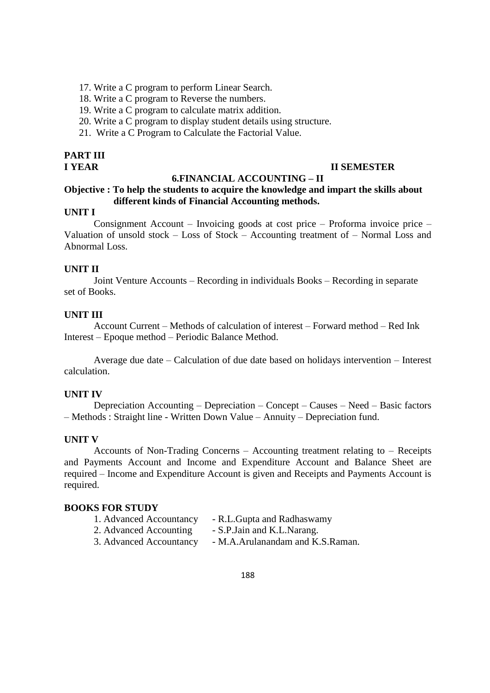- 17. Write a C program to perform Linear Search.
- 18. Write a C program to Reverse the numbers.
- 19. Write a C program to calculate matrix addition.
- 20. Write a C program to display student details using structure.
- 21. Write a C Program to Calculate the Factorial Value.

# **PART III**

# **I YEAR II SEMESTER**

# **6.FINANCIAL ACCOUNTING – II**

# **Objective : To help the students to acquire the knowledge and impart the skills about different kinds of Financial Accounting methods.**

# **UNIT I**

Consignment Account – Invoicing goods at cost price – Proforma invoice price – Valuation of unsold stock – Loss of Stock – Accounting treatment of – Normal Loss and Abnormal Loss.

# **UNIT II**

Joint Venture Accounts – Recording in individuals Books – Recording in separate set of Books.

#### **UNIT III**

Account Current – Methods of calculation of interest – Forward method – Red Ink Interest – Epoque method – Periodic Balance Method.

Average due date – Calculation of due date based on holidays intervention – Interest calculation.

### **UNIT IV**

Depreciation Accounting – Depreciation – Concept – Causes – Need – Basic factors – Methods : Straight line - Written Down Value – Annuity – Depreciation fund.

#### **UNIT V**

Accounts of Non-Trading Concerns – Accounting treatment relating to – Receipts and Payments Account and Income and Expenditure Account and Balance Sheet are required – Income and Expenditure Account is given and Receipts and Payments Account is required.

#### **BOOKS FOR STUDY**

- 1. Advanced Accountancy R.L.Gupta and Radhaswamy
- 2. Advanced Accounting S.P.Jain and K.L.Narang.
- 3. Advanced Accountancy M.A.Arulanandam and K.S.Raman.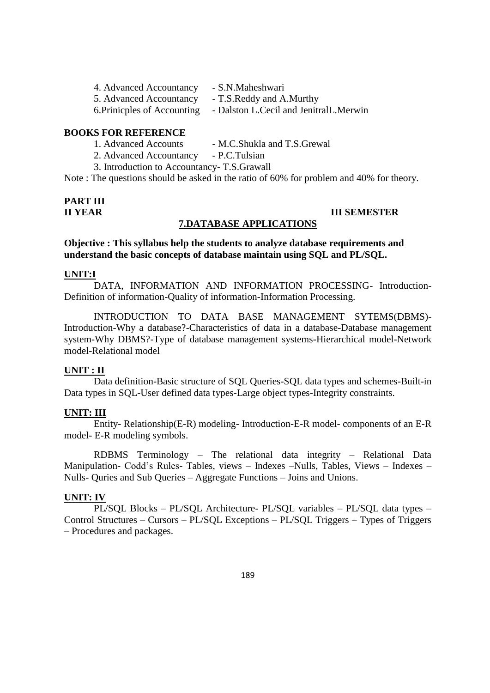| 4. Advanced Accountancy     | - S.N.Maheshwari                       |
|-----------------------------|----------------------------------------|
| 5. Advanced Accountancy     | - T.S.Reddy and A.Murthy               |
| 6. Prinicples of Accounting | - Dalston L.Cecil and JenitralL.Merwin |

# **BOOKS FOR REFERENCE**

- 1. Advanced Accounts M.C.Shukla and T.S.Grewal
- 2. Advanced Accountancy P.C.Tulsian

3. Introduction to Accountancy- T.S.Grawall

Note : The questions should be asked in the ratio of 60% for problem and 40% for theory.

# **PART III**

# **II YEAR III SEMESTER**

**Objective : This syllabus help the students to analyze database requirements and understand the basic concepts of database maintain using SQL and PL/SQL.**

#### **UNIT:I**

DATA, INFORMATION AND INFORMATION PROCESSING- Introduction-Definition of information-Quality of information-Information Processing.

**7.DATABASE APPLICATIONS**

INTRODUCTION TO DATA BASE MANAGEMENT SYTEMS(DBMS)- Introduction-Why a database?-Characteristics of data in a database-Database management system-Why DBMS?-Type of database management systems-Hierarchical model-Network model-Relational model

#### **UNIT : II**

Data definition-Basic structure of SQL Queries-SQL data types and schemes-Built-in Data types in SQL-User defined data types-Large object types-Integrity constraints.

# **UNIT: III**

Entity- Relationship(E-R) modeling- Introduction-E-R model- components of an E-R model- E-R modeling symbols.

RDBMS Terminology – The relational data integrity – Relational Data Manipulation- Codd's Rules- Tables, views – Indexes –Nulls, Tables, Views – Indexes – Nulls- Quries and Sub Queries – Aggregate Functions – Joins and Unions.

#### **UNIT: IV**

PL/SQL Blocks – PL/SQL Architecture- PL/SQL variables – PL/SQL data types – Control Structures – Cursors – PL/SQL Exceptions – PL/SQL Triggers – Types of Triggers – Procedures and packages.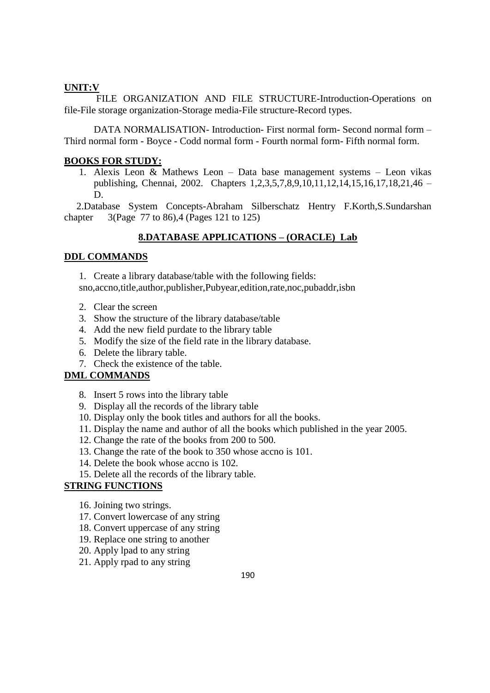# **UNIT:V**

FILE ORGANIZATION AND FILE STRUCTURE-Introduction-Operations on file-File storage organization-Storage media-File structure-Record types.

DATA NORMALISATION- Introduction- First normal form- Second normal form – Third normal form - Boyce - Codd normal form - Fourth normal form- Fifth normal form.

# **BOOKS FOR STUDY:**

1. Alexis Leon & Mathews Leon – Data base management systems – Leon vikas publishing, Chennai, 2002. Chapters 1,2,3,5,7,8,9,10,11,12,14,15,16,17,18,21,46 – D.

 2.Database System Concepts-Abraham Silberschatz Hentry F.Korth,S.Sundarshan chapter 3(Page 77 to 86),4 (Pages 121 to 125)

# **8.DATABASE APPLICATIONS – (ORACLE) Lab**

# **DDL COMMANDS**

1. Create a library database/table with the following fields: sno,accno,title,author,publisher,Pubyear,edition,rate,noc,pubaddr,isbn

- 2. Clear the screen
- 3. Show the structure of the library database/table
- 4. Add the new field purdate to the library table
- 5. Modify the size of the field rate in the library database.
- 6. Delete the library table.
- 7. Check the existence of the table.

# **DML COMMANDS**

- 8. Insert 5 rows into the library table
- 9. Display all the records of the library table
- 10. Display only the book titles and authors for all the books.
- 11. Display the name and author of all the books which published in the year 2005.
- 12. Change the rate of the books from 200 to 500.
- 13. Change the rate of the book to 350 whose accno is 101.
- 14. Delete the book whose accno is 102.
- 15. Delete all the records of the library table.

# **STRING FUNCTIONS**

- 16. Joining two strings.
- 17. Convert lowercase of any string
- 18. Convert uppercase of any string
- 19. Replace one string to another
- 20. Apply lpad to any string
- 21. Apply rpad to any string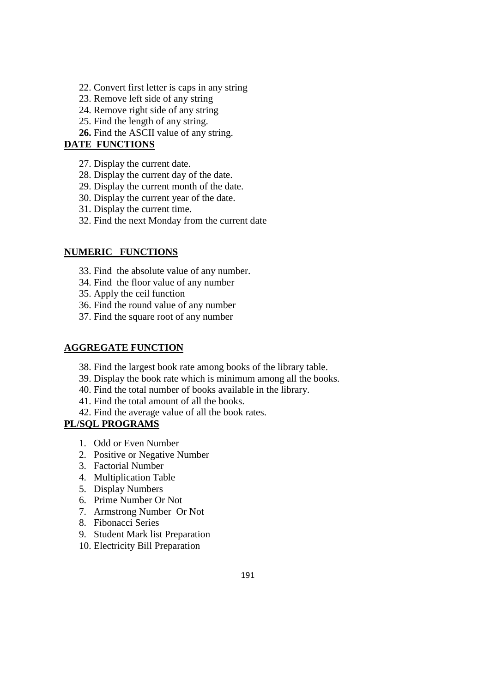- 22. Convert first letter is caps in any string
- 23. Remove left side of any string
- 24. Remove right side of any string
- 25. Find the length of any string.
- **26.** Find the ASCII value of any string.

# **DATE FUNCTIONS**

- 27. Display the current date.
- 28. Display the current day of the date.
- 29. Display the current month of the date.
- 30. Display the current year of the date.
- 31. Display the current time.
- 32. Find the next Monday from the current date

# **NUMERIC FUNCTIONS**

- 33. Find the absolute value of any number.
- 34. Find the floor value of any number
- 35. Apply the ceil function
- 36. Find the round value of any number
- 37. Find the square root of any number

# **AGGREGATE FUNCTION**

- 38. Find the largest book rate among books of the library table.
- 39. Display the book rate which is minimum among all the books.
- 40. Find the total number of books available in the library.
- 41. Find the total amount of all the books.
- 42. Find the average value of all the book rates.

# **PL/SQL PROGRAMS**

- 1. Odd or Even Number
- 2. Positive or Negative Number
- 3. Factorial Number
- 4. Multiplication Table
- 5. Display Numbers
- 6. Prime Number Or Not
- 7. Armstrong Number Or Not
- 8. Fibonacci Series
- 9. Student Mark list Preparation
- 10. Electricity Bill Preparation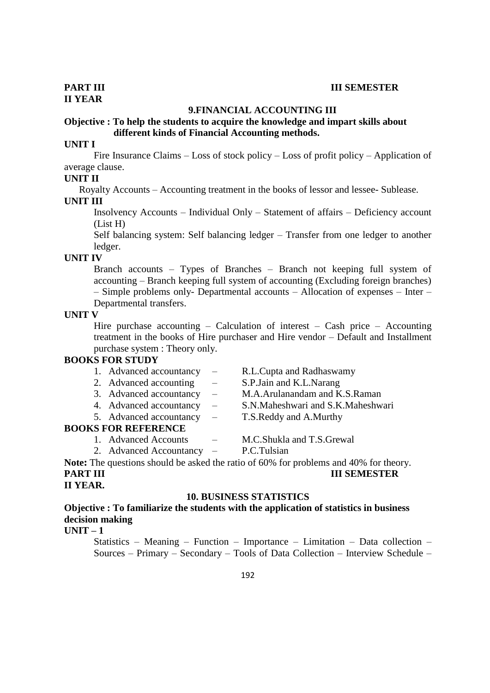#### **9.FINANCIAL ACCOUNTING III**

# **Objective : To help the students to acquire the knowledge and impart skills about different kinds of Financial Accounting methods.**

# **UNIT I**

Fire Insurance Claims – Loss of stock policy – Loss of profit policy – Application of average clause.

#### **UNIT II**

Royalty Accounts – Accounting treatment in the books of lessor and lessee- Sublease.

#### **UNIT III**

Insolvency Accounts – Individual Only – Statement of affairs – Deficiency account (List H)

Self balancing system: Self balancing ledger – Transfer from one ledger to another ledger.

### **UNIT IV**

Branch accounts – Types of Branches – Branch not keeping full system of accounting – Branch keeping full system of accounting (Excluding foreign branches) – Simple problems only- Departmental accounts – Allocation of expenses – Inter – Departmental transfers.

#### **UNIT V**

Hire purchase accounting  $-$  Calculation of interest  $-$  Cash price  $-$  Accounting treatment in the books of Hire purchaser and Hire vendor – Default and Installment purchase system : Theory only.

# **BOOKS FOR STUDY**

| 1. Advanced accountancy     | $\sim$ $-$ | R.L.Cupta and Radhaswamy      |
|-----------------------------|------------|-------------------------------|
| 2. Advanced accounting      | $\sim$     | S.P. Jain and K.L. Narang     |
| 3. Advanced accountancy $-$ |            | M.A.Arulanandam and K.S.Raman |

- 4. Advanced accountancy S.N.Maheshwari and S.K.Maheshwari
- 
- 5. Advanced accountancy T.S.Reddy and A.Murthy

# **BOOKS FOR REFERENCE**

- 1. Advanced Accounts M.C.Shukla and T.S.Grewal
- 
- 2. Advanced Accountancy P.C.Tulsian
- 

**Note:** The questions should be asked the ratio of 60% for problems and 40% for theory. **PART III III SEMESTER**

# **II YEAR.**

#### **10. BUSINESS STATISTICS**

**Objective : To familiarize the students with the application of statistics in business decision making** 

# **UNIT – 1**

Statistics – Meaning – Function – Importance – Limitation – Data collection – Sources – Primary – Secondary – Tools of Data Collection – Interview Schedule –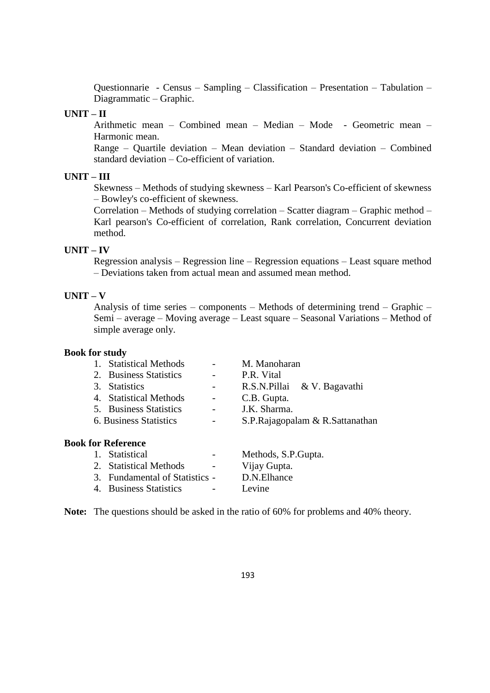Questionnarie - Census – Sampling – Classification – Presentation – Tabulation – Diagrammatic – Graphic.

### **UNIT – II**

Arithmetic mean – Combined mean – Median – Mode - Geometric mean – Harmonic mean.

Range – Quartile deviation – Mean deviation – Standard deviation – Combined standard deviation – Co-efficient of variation.

# **UNIT – III**

Skewness – Methods of studying skewness – Karl Pearson's Co-efficient of skewness – Bowley's co-efficient of skewness.

Correlation – Methods of studying correlation – Scatter diagram – Graphic method – Karl pearson's Co-efficient of correlation, Rank correlation, Concurrent deviation method.

# **UNIT – IV**

Regression analysis – Regression line – Regression equations – Least square method – Deviations taken from actual mean and assumed mean method.

#### **UNIT – V**

Analysis of time series – components – Methods of determining trend – Graphic – Semi – average – Moving average – Least square – Seasonal Variations – Method of simple average only.

#### **Book for study**

| 1. Statistical Methods    |   | M. Manoharan                    |
|---------------------------|---|---------------------------------|
| 2. Business Statistics    |   | P.R. Vital                      |
| 3. Statistics             |   | R.S.N.Pillai & V. Bagavathi     |
| 4. Statistical Methods    |   | C.B. Gupta.                     |
| 5. Business Statistics    | - | J.K. Sharma.                    |
| 6. Business Statistics    | - | S.P.Rajagopalam & R.Sattanathan |
| <b>Book for Reference</b> |   |                                 |
| Statistical               |   | Methods, S.P. Gupta.            |

| 1. Statistical |  |
|----------------|--|

| 2. Statistical Methods<br>$\overline{\phantom{0}}$ | Vijay Gupta. |  |
|----------------------------------------------------|--------------|--|
| 3. Fundamental of Statistics -                     | D.N.Elhance  |  |
| 4. Business Statistics<br>$\sim$                   | Levine       |  |

**Note:** The questions should be asked in the ratio of 60% for problems and 40% theory.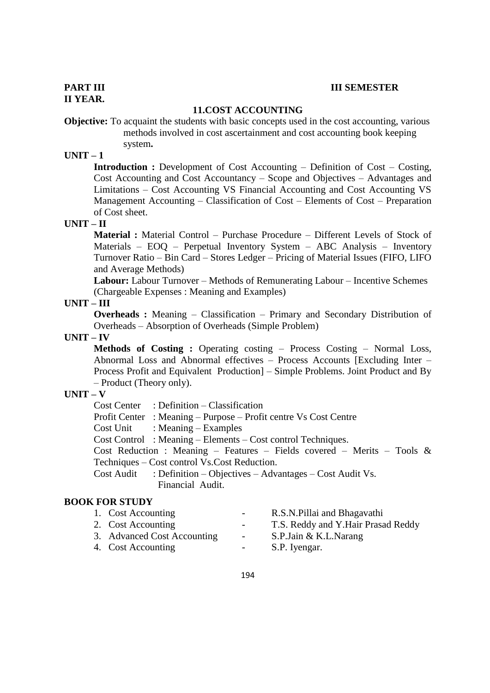#### **PART III III SEMESTER**

# **11.COST ACCOUNTING**

**Objective:** To acquaint the students with basic concepts used in the cost accounting, various methods involved in cost ascertainment and cost accounting book keeping

system**.**

# **UNIT – 1**

**Introduction :** Development of Cost Accounting – Definition of Cost – Costing, Cost Accounting and Cost Accountancy – Scope and Objectives – Advantages and Limitations – Cost Accounting VS Financial Accounting and Cost Accounting VS Management Accounting – Classification of Cost – Elements of Cost – Preparation of Cost sheet.

#### **UNIT – II**

**Material :** Material Control – Purchase Procedure – Different Levels of Stock of Materials – EOQ – Perpetual Inventory System – ABC Analysis – Inventory Turnover Ratio – Bin Card – Stores Ledger – Pricing of Material Issues (FIFO, LIFO and Average Methods)

**Labour:** Labour Turnover – Methods of Remunerating Labour – Incentive Schemes (Chargeable Expenses : Meaning and Examples)

# **UNIT – III**

**Overheads :** Meaning – Classification – Primary and Secondary Distribution of Overheads – Absorption of Overheads (Simple Problem)

# **UNIT – IV**

**Methods of Costing :** Operating costing – Process Costing – Normal Loss, Abnormal Loss and Abnormal effectives – Process Accounts [Excluding Inter – Process Profit and Equivalent Production] – Simple Problems. Joint Product and By – Product (Theory only).

# **UNIT – V**

Cost Center : Definition – Classification

Profit Center : Meaning – Purpose – Profit centre Vs Cost Centre

Cost Unit : Meaning – Examples

Cost Control : Meaning – Elements – Cost control Techniques.

Cost Reduction : Meaning – Features – Fields covered – Merits – Tools & Techniques – Cost control Vs.Cost Reduction.

Cost Audit : Definition – Objectives – Advantages – Cost Audit Vs. Financial Audit.

# **BOOK FOR STUDY**

| 1. Cost Accounting          | $ -$             | R.S.N. Pillai and Bhagavathi       |
|-----------------------------|------------------|------------------------------------|
| 2. Cost Accounting          | $\sim$ 100 $\mu$ | T.S. Reddy and Y.Hair Prasad Reddy |
| 3. Advanced Cost Accounting | $\sim$           | S.P.Jain & K.L.Narang              |
| 4. Cost Accounting          |                  | S.P. Iyengar.                      |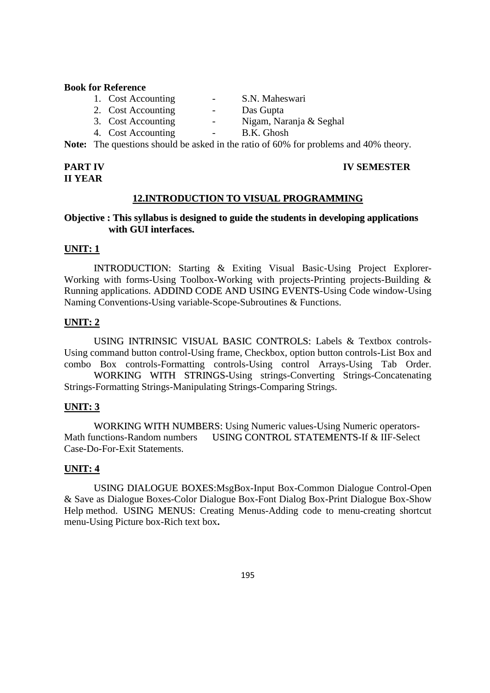#### **Book for Reference**

- 1. Cost Accounting The S.N. Maheswari
- 2. Cost Accounting Das Gupta
- 
- 4. Cost Accounting -
- 
- 
- 3. Cost Accounting Nigam, Naranja & Seghal<br>4. Cost Accounting B.K. Ghosh
	-

**Note:** The questions should be asked in the ratio of 60% for problems and 40% theory.

# **II YEAR**

# **PART IV IV SEMESTER**

# **12.INTRODUCTION TO VISUAL PROGRAMMING**

# **Objective : This syllabus is designed to guide the students in developing applications with GUI interfaces.**

# **UNIT: 1**

INTRODUCTION: Starting & Exiting Visual Basic-Using Project Explorer-Working with forms-Using Toolbox-Working with projects-Printing projects-Building & Running applications. ADDIND CODE AND USING EVENTS-Using Code window-Using Naming Conventions-Using variable-Scope-Subroutines & Functions.

# **UNIT: 2**

USING INTRINSIC VISUAL BASIC CONTROLS: Labels & Textbox controls-Using command button control-Using frame, Checkbox, option button controls-List Box and combo Box controls-Formatting controls-Using control Arrays-Using Tab Order.

WORKING WITH STRINGS-Using strings-Converting Strings-Concatenating Strings-Formatting Strings-Manipulating Strings-Comparing Strings.

# **UNIT: 3**

WORKING WITH NUMBERS: Using Numeric values-Using Numeric operators-Math functions-Random numbers USING CONTROL STATEMENTS-If & IIF-Select Case-Do-For-Exit Statements.

# **UNIT: 4**

USING DIALOGUE BOXES:MsgBox-Input Box-Common Dialogue Control-Open & Save as Dialogue Boxes-Color Dialogue Box-Font Dialog Box-Print Dialogue Box-Show Help method. USING MENUS: Creating Menus-Adding code to menu-creating shortcut menu-Using Picture box-Rich text box**.**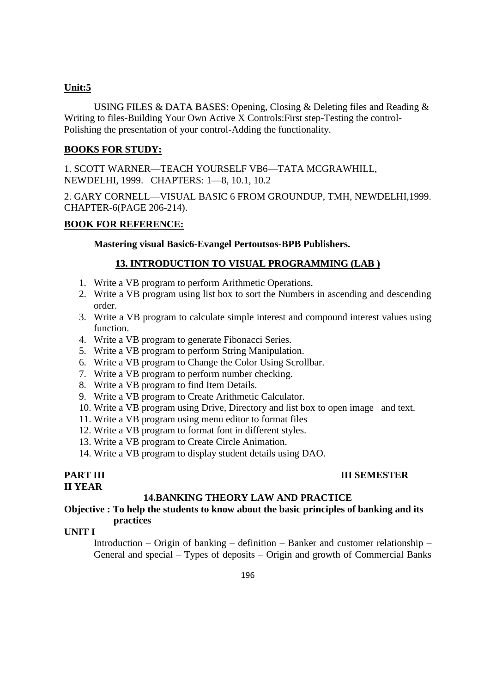# **Unit:5**

USING FILES & DATA BASES: Opening, Closing & Deleting files and Reading & Writing to files-Building Your Own Active X Controls:First step-Testing the control-Polishing the presentation of your control-Adding the functionality.

# **BOOKS FOR STUDY:**

1. SCOTT WARNER—TEACH YOURSELF VB6—TATA MCGRAWHILL, NEWDELHI, 1999. CHAPTERS: 1—8, 10.1, 10.2

2. GARY CORNELL—VISUAL BASIC 6 FROM GROUNDUP, TMH, NEWDELHI,1999. CHAPTER-6(PAGE 206-214).

# **BOOK FOR REFERENCE:**

**Mastering visual Basic6-Evangel Pertoutsos-BPB Publishers.**

# **13. INTRODUCTION TO VISUAL PROGRAMMING (LAB )**

- 1. Write a VB program to perform Arithmetic Operations.
- 2. Write a VB program using list box to sort the Numbers in ascending and descending order.
- 3. Write a VB program to calculate simple interest and compound interest values using function.
- 4. Write a VB program to generate Fibonacci Series.
- 5. Write a VB program to perform String Manipulation.
- 6. Write a VB program to Change the Color Using Scrollbar.
- 7. Write a VB program to perform number checking.
- 8. Write a VB program to find Item Details.
- 9. Write a VB program to Create Arithmetic Calculator.
- 10. Write a VB program using Drive, Directory and list box to open image and text.
- 11. Write a VB program using menu editor to format files
- 12. Write a VB program to format font in different styles.
- 13. Write a VB program to Create Circle Animation.
- 14. Write a VB program to display student details using DAO.

# **II YEAR**

# **PART III IIII** SEMESTER

#### **14.BANKING THEORY LAW AND PRACTICE**

# **Objective : To help the students to know about the basic principles of banking and its practices**

# **UNIT I**

Introduction – Origin of banking – definition – Banker and customer relationship – General and special – Types of deposits – Origin and growth of Commercial Banks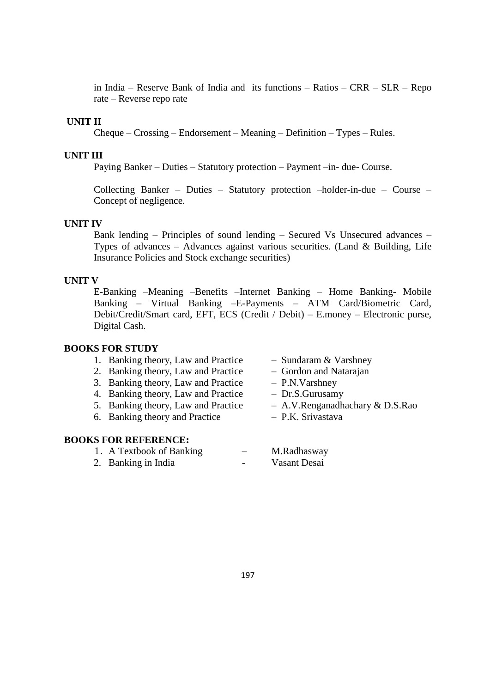in India – Reserve Bank of India and its functions – Ratios – CRR – SLR – Repo rate – Reverse repo rate

# **UNIT II**

Cheque – Crossing – Endorsement – Meaning – Definition – Types – Rules.

#### **UNIT III**

Paying Banker – Duties – Statutory protection – Payment –in- due- Course.

Collecting Banker – Duties – Statutory protection –holder-in-due – Course – Concept of negligence.

#### **UNIT IV**

Bank lending – Principles of sound lending – Secured Vs Unsecured advances – Types of advances – Advances against various securities. (Land  $\&$  Building, Life Insurance Policies and Stock exchange securities)

#### **UNIT V**

E-Banking –Meaning –Benefits –Internet Banking – Home Banking- Mobile Banking – Virtual Banking –E-Payments – ATM Card/Biometric Card, Debit/Credit/Smart card, EFT, ECS (Credit / Debit) – E.money – Electronic purse, Digital Cash.

### **BOOKS FOR STUDY**

| 1. Banking theory, Law and Practice | - Sundaram & Varshney  |
|-------------------------------------|------------------------|
| 2. Banking theory, Law and Practice | - Gordon and Natarajan |
| 3. Banking theory, Law and Practice | $-$ P.N.Varshney       |

- 
- 4. Banking theory, Law and Practice Dr.S.Gurusamy
- 5. Banking theory, Law and Practice A.V.Renganadhachary & D.S.Rao
- 6. Banking theory and Practice P.K. Srivastava

# **BOOKS FOR REFERENCE:**

1. A Textbook of Banking – M.Radhasway 2. Banking in India **- Casaman** - Vasant Desai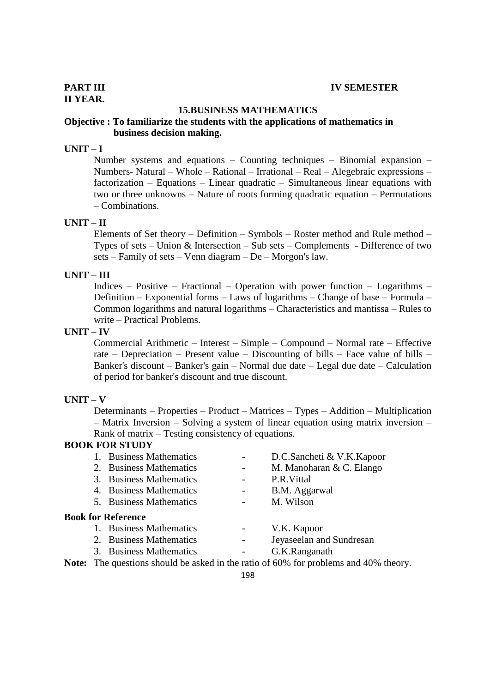# **II YEAR.**

#### **15.BUSINESS MATHEMATICS**

# **Objective : To familiarize the students with the applications of mathematics in business decision making.**

# **UNIT – I**

Number systems and equations – Counting techniques – Binomial expansion – Numbers- Natural – Whole – Rational – Irrational – Real – Alegebraic expressions – factorization – Equations – Linear quadratic – Simultaneous linear equations with two or three unknowns – Nature of roots forming quadratic equation – Permutations – Combinations.

# **UNIT – II**

Elements of Set theory – Definition – Symbols – Roster method and Rule method – Types of sets – Union & Intersection – Sub sets – Complements - Difference of two sets – Family of sets – Venn diagram – De – Morgon's law.

#### **UNIT – III**

Indices – Positive – Fractional – Operation with power function – Logarithms – Definition – Exponential forms – Laws of logarithms – Change of base – Formula – Common logarithms and natural logarithms – Characteristics and mantissa – Rules to write – Practical Problems.

#### **UNIT – IV**

Commercial Arithmetic – Interest – Simple – Compound – Normal rate – Effective rate – Depreciation – Present value – Discounting of bills – Face value of bills – Banker's discount – Banker's gain – Normal due date – Legal due date – Calculation of period for banker's discount and true discount.

#### **UNIT – V**

Determinants – Properties – Product – Matrices – Types – Addition – Multiplication – Matrix Inversion – Solving a system of linear equation using matrix inversion – Rank of matrix – Testing consistency of equations.

# **BOOK FOR STUDY**

| 1. Business Mathematics   | D.C.Sancheti & V.K.Kapoor |
|---------------------------|---------------------------|
| 2. Business Mathematics   | M. Manoharan & C. Elango  |
| 3. Business Mathematics   | P.R. Vittal               |
| 4. Business Mathematics   | B.M. Aggarwal             |
| 5. Business Mathematics   | M. Wilson                 |
| <b>Book for Reference</b> |                           |
| 1. Business Mathematics   | V.K. Kapoor               |
| 2. Business Mathematics   | Jeyaseelan and Sundresan  |
| 3. Business Mathematics   | G.K.Ranganath             |

**Note:** The questions should be asked in the ratio of 60% for problems and 40% theory.

198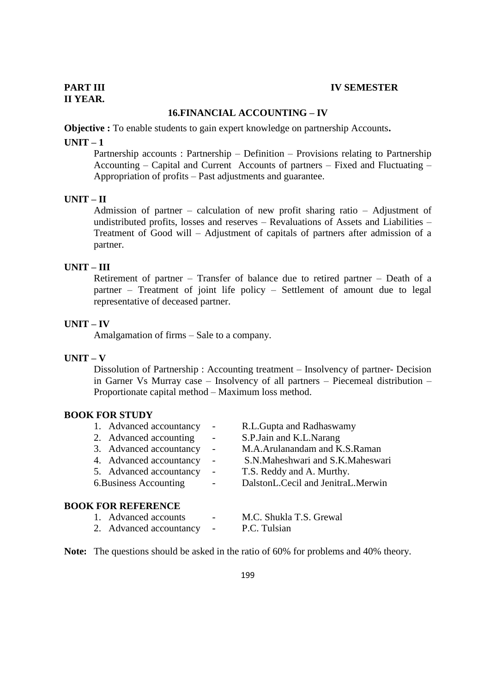# **16.FINANCIAL ACCOUNTING – IV**

**Objective :** To enable students to gain expert knowledge on partnership Accounts**.**

#### **UNIT – 1**

Partnership accounts : Partnership – Definition – Provisions relating to Partnership Accounting – Capital and Current Accounts of partners – Fixed and Fluctuating – Appropriation of profits – Past adjustments and guarantee.

#### **UNIT – II**

Admission of partner – calculation of new profit sharing ratio – Adjustment of undistributed profits, losses and reserves – Revaluations of Assets and Liabilities – Treatment of Good will – Adjustment of capitals of partners after admission of a partner.

# **UNIT – III**

Retirement of partner – Transfer of balance due to retired partner – Death of a partner – Treatment of joint life policy – Settlement of amount due to legal representative of deceased partner.

#### **UNIT – IV**

Amalgamation of firms – Sale to a company.

#### **UNIT – V**

Dissolution of Partnership : Accounting treatment – Insolvency of partner- Decision in Garner Vs Murray case – Insolvency of all partners – Piecemeal distribution – Proportionate capital method – Maximum loss method.

### **BOOK FOR STUDY**

| 1. Advanced accountancy   |                          | R.L.Gupta and Radhaswamy           |
|---------------------------|--------------------------|------------------------------------|
| 2. Advanced accounting    | $\overline{\phantom{a}}$ | S.P.Jain and K.L.Narang            |
| 3. Advanced accountancy   | $\overline{\phantom{a}}$ | M.A.Arulanandam and K.S.Raman      |
| 4. Advanced accountancy   | $\overline{\phantom{a}}$ | S.N.Maheshwari and S.K.Maheswari   |
| 5. Advanced accountancy   | $\overline{\phantom{a}}$ | T.S. Reddy and A. Murthy.          |
| 6. Business Accounting    |                          | DalstonL.Cecil and JenitraL.Merwin |
|                           |                          |                                    |
| <b>BOOK FOR REFERENCE</b> |                          |                                    |

# 1. Advanced accounts - M.C. Shukla T.S. Grewal 2. Advanced accountancy - P.C. Tulsian

**Note:** The questions should be asked in the ratio of 60% for problems and 40% theory.

199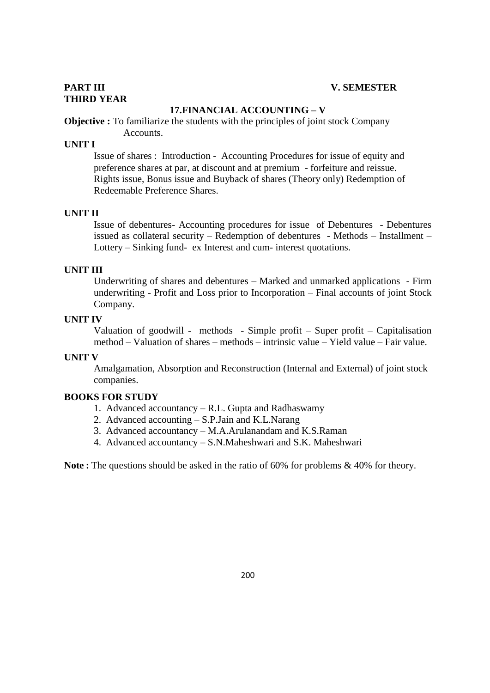# **THIRD YEAR**

# **17.FINANCIAL ACCOUNTING – V**

**Objective :** To familiarize the students with the principles of joint stock Company Accounts.

# **UNIT I**

Issue of shares : Introduction - Accounting Procedures for issue of equity and preference shares at par, at discount and at premium - forfeiture and reissue. Rights issue, Bonus issue and Buyback of shares (Theory only) Redemption of Redeemable Preference Shares.

### **UNIT II**

Issue of debentures- Accounting procedures for issue of Debentures - Debentures issued as collateral security – Redemption of debentures - Methods – Installment – Lottery – Sinking fund- ex Interest and cum- interest quotations.

### **UNIT III**

Underwriting of shares and debentures – Marked and unmarked applications - Firm underwriting - Profit and Loss prior to Incorporation – Final accounts of joint Stock Company.

## **UNIT IV**

Valuation of goodwill - methods - Simple profit – Super profit – Capitalisation method – Valuation of shares – methods – intrinsic value – Yield value – Fair value.

#### **UNIT V**

Amalgamation, Absorption and Reconstruction (Internal and External) of joint stock companies.

#### **BOOKS FOR STUDY**

- 1. Advanced accountancy R.L. Gupta and Radhaswamy
- 2. Advanced accounting S.P.Jain and K.L.Narang
- 3. Advanced accountancy M.A.Arulanandam and K.S.Raman
- 4. Advanced accountancy S.N.Maheshwari and S.K. Maheshwari

**Note :** The questions should be asked in the ratio of 60% for problems & 40% for theory.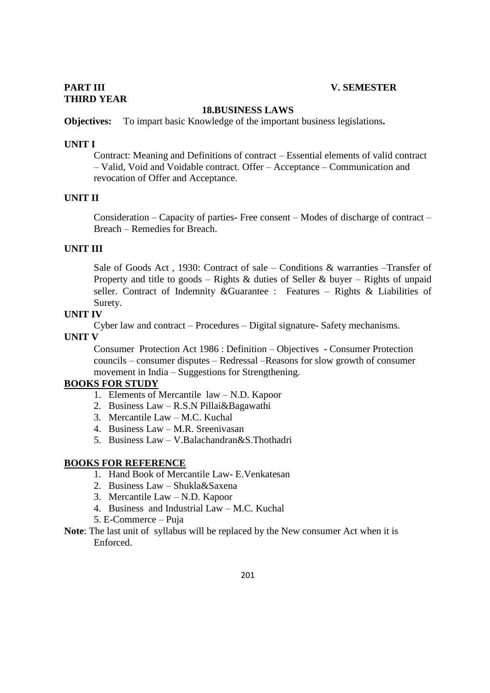# **PART III V. SEMESTER**

# **THIRD YEAR**

### **18.BUSINESS LAWS**

**Objectives:** To impart basic Knowledge of the important business legislations**.**

#### **UNIT I**

Contract: Meaning and Definitions of contract – Essential elements of valid contract – Valid, Void and Voidable contract. Offer – Acceptance – Communication and revocation of Offer and Acceptance.

# **UNIT II**

Consideration – Capacity of parties- Free consent – Modes of discharge of contract – Breach – Remedies for Breach.

# **UNIT III**

Sale of Goods Act , 1930: Contract of sale – Conditions & warranties –Transfer of Property and title to goods – Rights & duties of Seller & buyer – Rights of unpaid seller. Contract of Indemnity &Guarantee : Features – Rights & Liabilities of Surety.

#### **UNIT IV**

Cyber law and contract – Procedures – Digital signature- Safety mechanisms.

#### **UNIT V**

Consumer Protection Act 1986 : Definition – Objectives - Consumer Protection councils – consumer disputes – Redressal –Reasons for slow growth of consumer movement in India – Suggestions for Strengthening.

### **BOOKS FOR STUDY**

- 1. Elements of Mercantile law N.D. Kapoor
- 2. Business Law R.S.N Pillai&Bagawathi
- 3. Mercantile Law M.C. Kuchal
- 4. Business Law M.R. Sreenivasan
- 5. Business Law V.Balachandran&S.Thothadri

# **BOOKS FOR REFERENCE**

- 1. Hand Book of Mercantile Law- E.Venkatesan
- 2. Business Law Shukla&Saxena
- 3. Mercantile Law N.D. Kapoor
- 4. Business and Industrial Law M.C. Kuchal
- 5. E-Commerce Puja
- **Note**: The last unit of syllabus will be replaced by the New consumer Act when it is Enforced.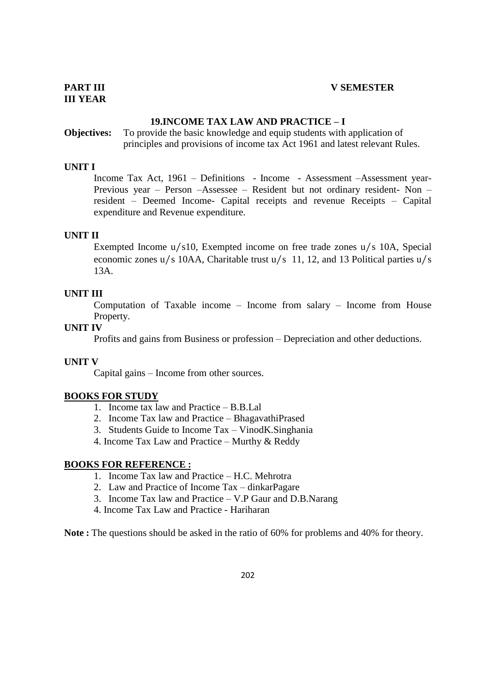# **19.INCOME TAX LAW AND PRACTICE – I**

# **Objectives:** To provide the basic knowledge and equip students with application of principles and provisions of income tax Act 1961 and latest relevant Rules.

### **UNIT I**

Income Tax Act, 1961 – Definitions - Income - Assessment –Assessment year-Previous year – Person –Assessee – Resident but not ordinary resident- Non – resident – Deemed Income- Capital receipts and revenue Receipts – Capital expenditure and Revenue expenditure.

#### **UNIT II**

Exempted Income u/s10, Exempted income on free trade zones u/s 10A, Special economic zones u/s 10AA, Charitable trust u/s 11, 12, and 13 Political parties u/s 13A.

# **UNIT III**

Computation of Taxable income – Income from salary – Income from House Property.

#### **UNIT IV**

Profits and gains from Business or profession – Depreciation and other deductions.

#### **UNIT V**

Capital gains – Income from other sources.

#### **BOOKS FOR STUDY**

- 1. Income tax law and Practice B.B.Lal
- 2. Income Tax law and Practice BhagavathiPrased
- 3. Students Guide to Income Tax VinodK.Singhania
- 4. Income Tax Law and Practice Murthy & Reddy

### **BOOKS FOR REFERENCE :**

- 1. Income Tax law and Practice H.C. Mehrotra
- 2. Law and Practice of Income Tax dinkarPagare
- 3. Income Tax law and Practice V.P Gaur and D.B.Narang
- 4. Income Tax Law and Practice Hariharan

**Note :** The questions should be asked in the ratio of 60% for problems and 40% for theory.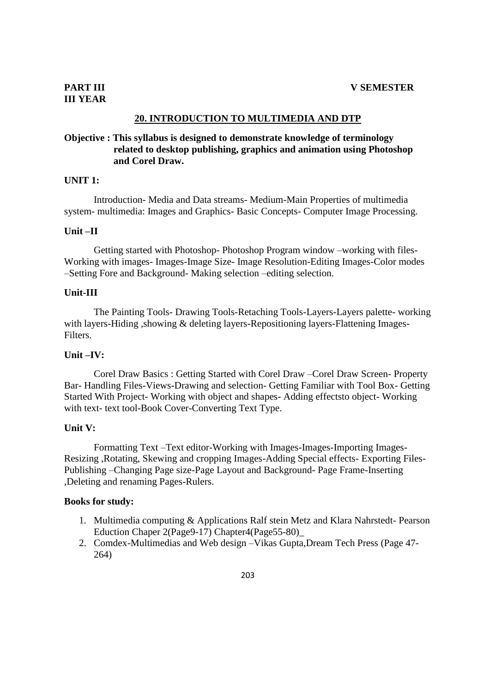# **20. INTRODUCTION TO MULTIMEDIA AND DTP**

# **Objective : This syllabus is designed to demonstrate knowledge of terminology related to desktop publishing, graphics and animation using Photoshop and Corel Draw.**

#### **UNIT 1:**

Introduction- Media and Data streams- Medium-Main Properties of multimedia system- multimedia: Images and Graphics- Basic Concepts- Computer Image Processing.

#### **Unit –II**

Getting started with Photoshop- Photoshop Program window –working with files-Working with images- Images-Image Size- Image Resolution-Editing Images-Color modes –Setting Fore and Background- Making selection –editing selection.

### **Unit-III**

The Painting Tools- Drawing Tools-Retaching Tools-Layers-Layers palette- working with layers-Hiding , showing & deleting layers-Repositioning layers-Flattening Images-Filters.

#### **Unit –IV:**

Corel Draw Basics : Getting Started with Corel Draw –Corel Draw Screen- Property Bar- Handling Files-Views-Drawing and selection- Getting Familiar with Tool Box- Getting Started With Project- Working with object and shapes- Adding effectsto object- Working with text- text tool-Book Cover-Converting Text Type.

#### **Unit V:**

Formatting Text –Text editor-Working with Images-Images-Importing Images-Resizing ,Rotating, Skewing and cropping Images-Adding Special effects- Exporting Files-Publishing –Changing Page size-Page Layout and Background- Page Frame-Inserting ,Deleting and renaming Pages-Rulers.

#### **Books for study:**

- 1. Multimedia computing & Applications Ralf stein Metz and Klara Nahrstedt- Pearson Eduction Chaper 2(Page9-17) Chapter4(Page55-80)\_
- 2. Comdex-Multimedias and Web design –Vikas Gupta,Dream Tech Press (Page 47- 264)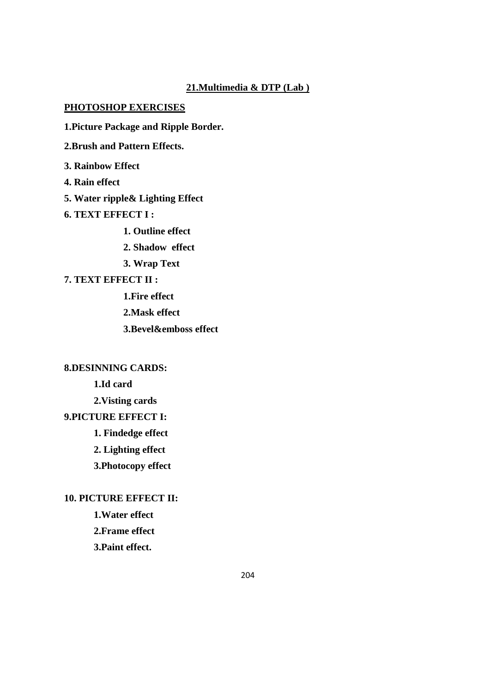# **21.Multimedia & DTP (Lab )**

# **PHOTOSHOP EXERCISES**

**1.Picture Package and Ripple Border.**

**2.Brush and Pattern Effects.**

**3. Rainbow Effect**

**4. Rain effect**

**5. Water ripple& Lighting Effect**

**6. TEXT EFFECT I :**

**1. Outline effect**

**2. Shadow effect**

**3. Wrap Text**

# **7. TEXT EFFECT II :**

**1.Fire effect**

**2.Mask effect**

**3.Bevel&emboss effect**

# **8.DESINNING CARDS:**

**1.Id card**

**2.Visting cards**

# **9.PICTURE EFFECT I:**

**1. Findedge effect**

**2. Lighting effect**

**3.Photocopy effect**

# **10. PICTURE EFFECT II:**

**1.Water effect**

**2.Frame effect**

**3.Paint effect.**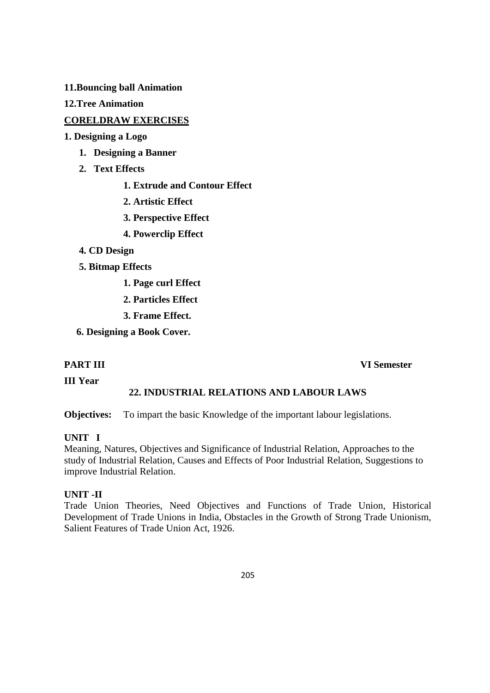**11.Bouncing ball Animation**

**12.Tree Animation**

# **CORELDRAW EXERCISES**

**1. Designing a Logo**

- **1. Designing a Banner**
- **2. Text Effects**
	- **1. Extrude and Contour Effect**
	- **2. Artistic Effect**
	- **3. Perspective Effect**
	- **4. Powerclip Effect**
- **4. CD Design**
- **5. Bitmap Effects** 
	- **1. Page curl Effect**
	- **2. Particles Effect**
	- **3. Frame Effect.**
- **6. Designing a Book Cover.**

# **PART III VI Semester**

**III Year**

# **22. INDUSTRIAL RELATIONS AND LABOUR LAWS**

**Objectives:** To impart the basic Knowledge of the important labour legislations.

# **UNIT I**

Meaning, Natures, Objectives and Significance of Industrial Relation, Approaches to the study of Industrial Relation, Causes and Effects of Poor Industrial Relation, Suggestions to improve Industrial Relation.

# **UNIT -II**

Trade Union Theories, Need Objectives and Functions of Trade Union, Historical Development of Trade Unions in India, Obstacles in the Growth of Strong Trade Unionism, Salient Features of Trade Union Act, 1926.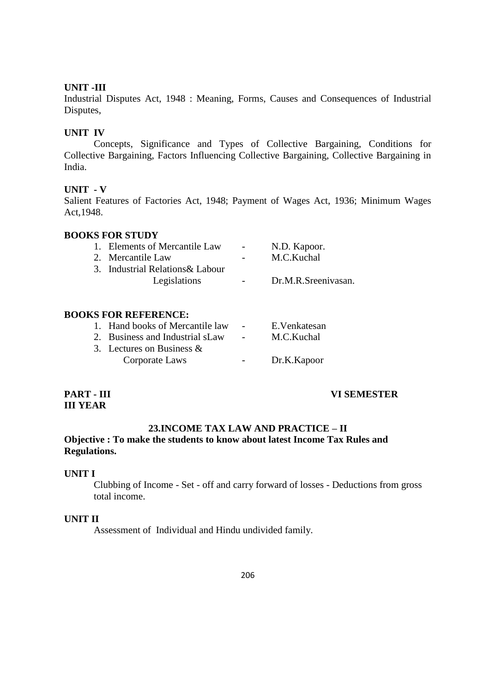# **UNIT -III**

Industrial Disputes Act, 1948 : Meaning, Forms, Causes and Consequences of Industrial Disputes,

# **UNIT IV**

Concepts, Significance and Types of Collective Bargaining, Conditions for Collective Bargaining, Factors Influencing Collective Bargaining, Collective Bargaining in India.

### **UNIT - V**

Salient Features of Factories Act, 1948; Payment of Wages Act, 1936; Minimum Wages Act,1948.

### **BOOKS FOR STUDY**

| 1. Elements of Mercantile Law    | $\sim$ 100 $\mu$         | N.D. Kapoor.        |
|----------------------------------|--------------------------|---------------------|
| 2. Mercantile Law                | $\overline{\phantom{a}}$ | M.C.Kuchal          |
| 3. Industrial Relations & Labour |                          |                     |
| Legislations                     | $\sim$ $\sim$            | Dr.M.R.Sreenivasan. |

### **BOOKS FOR REFERENCE:**

| 1. Hand books of Mercantile law | $\sim$ | E.Venkatesan |
|---------------------------------|--------|--------------|
| 2. Business and Industrial sLaw |        | M.C.Kuchal   |
| 3. Lectures on Business $\&$    |        |              |
| Corporate Laws                  |        | Dr.K.Kapoor  |
|                                 |        |              |

# **III YEAR**

**PART - III VI SEMESTER**

# **23.INCOME TAX LAW AND PRACTICE – II**

# **Objective : To make the students to know about latest Income Tax Rules and Regulations.**

#### **UNIT I**

Clubbing of Income - Set - off and carry forward of losses - Deductions from gross total income.

# **UNIT II**

Assessment of Individual and Hindu undivided family.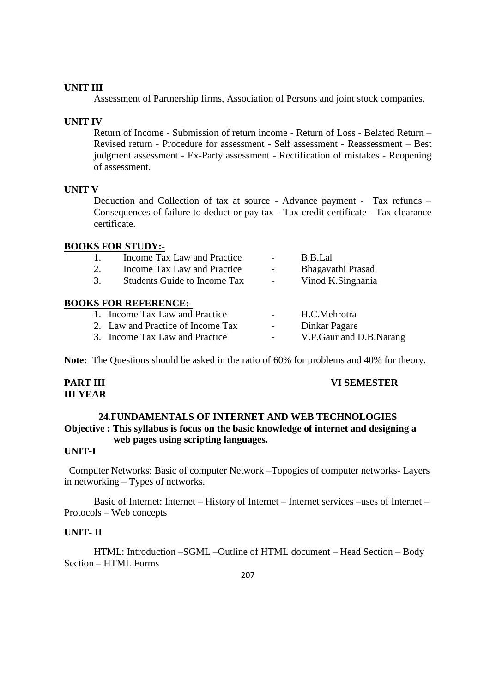# **UNIT III**

Assessment of Partnership firms, Association of Persons and joint stock companies.

#### **UNIT IV**

Return of Income - Submission of return income - Return of Loss - Belated Return – Revised return - Procedure for assessment - Self assessment - Reassessment – Best judgment assessment - Ex-Party assessment - Rectification of mistakes - Reopening of assessment.

#### **UNIT V**

Deduction and Collection of tax at source - Advance payment - Tax refunds – Consequences of failure to deduct or pay tax - Tax credit certificate - Tax clearance certificate.

#### **BOOKS FOR STUDY:-**

|    | Income Tax Law and Practice         |                          | B.B.Lal                 |
|----|-------------------------------------|--------------------------|-------------------------|
| 2. | Income Tax Law and Practice         |                          | Bhagavathi Prasad       |
| 3. | <b>Students Guide to Income Tax</b> | $\overline{\phantom{a}}$ | Vinod K.Singhania       |
|    | <b>BOOKS FOR REFERENCE:-</b>        |                          |                         |
|    | 1. Income Tax Law and Practice      |                          | H.C.Mehrotra            |
|    | 2. Law and Practice of Income Tax   |                          | Dinkar Pagare           |
|    | 3. Income Tax Law and Practice      |                          | V.P.Gaur and D.B.Narang |

**Note:** The Questions should be asked in the ratio of 60% for problems and 40% for theory.

# **III YEAR**

#### **PART III VI SEMESTER**

# **24.FUNDAMENTALS OF INTERNET AND WEB TECHNOLOGIES Objective : This syllabus is focus on the basic knowledge of internet and designing a web pages using scripting languages.**

# **UNIT-I**

Computer Networks: Basic of computer Network –Topogies of computer networks- Layers in networking – Types of networks.

Basic of Internet: Internet – History of Internet – Internet services –uses of Internet – Protocols – Web concepts

# **UNIT- II**

HTML: Introduction –SGML –Outline of HTML document – Head Section – Body Section – HTML Forms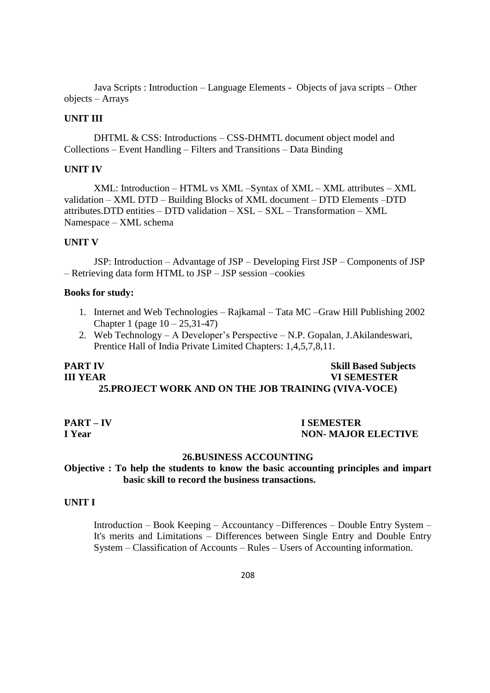Java Scripts : Introduction – Language Elements - Objects of java scripts – Other objects – Arrays

#### **UNIT III**

DHTML & CSS: Introductions – CSS-DHMTL document object model and Collections – Event Handling – Filters and Transitions – Data Binding

## **UNIT IV**

XML: Introduction – HTML vs XML –Syntax of XML – XML attributes – XML validation – XML DTD – Building Blocks of XML document – DTD Elements –DTD attributes.DTD entities – DTD validation – XSL – SXL – Transformation – XML Namespace – XML schema

## **UNIT V**

JSP: Introduction – Advantage of JSP – Developing First JSP – Components of JSP – Retrieving data form HTML to JSP – JSP session –cookies

#### **Books for study:**

- 1. Internet and Web Technologies Rajkamal Tata MC –Graw Hill Publishing 2002 Chapter 1 (page 10 – 25,31-47)
- 2. Web Technology A Developer's Perspective N.P. Gopalan, J.Akilandeswari, Prentice Hall of India Private Limited Chapters: 1,4,5,7,8,11.

# **PART IV Skill Based Subjects III YEAR VI SEMESTER 25.PROJECT WORK AND ON THE JOB TRAINING (VIVA-VOCE)**

#### **PART – IV I SEMESTER I Year NON- MAJOR ELECTIVE**

#### **26.BUSINESS ACCOUNTING**

# **Objective : To help the students to know the basic accounting principles and impart basic skill to record the business transactions.**

#### **UNIT I**

Introduction – Book Keeping – Accountancy –Differences – Double Entry System – It's merits and Limitations – Differences between Single Entry and Double Entry System – Classification of Accounts – Rules – Users of Accounting information.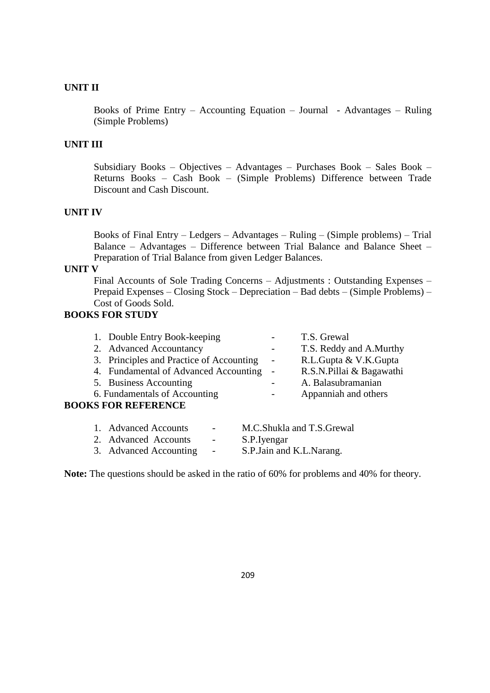# **UNIT II**

Books of Prime Entry – Accounting Equation – Journal - Advantages – Ruling (Simple Problems)

# **UNIT III**

Subsidiary Books – Objectives – Advantages – Purchases Book – Sales Book – Returns Books – Cash Book – (Simple Problems) Difference between Trade Discount and Cash Discount.

# **UNIT IV**

Books of Final Entry – Ledgers – Advantages – Ruling – (Simple problems) – Trial Balance – Advantages – Difference between Trial Balance and Balance Sheet – Preparation of Trial Balance from given Ledger Balances.

#### **UNIT V**

Final Accounts of Sole Trading Concerns – Adjustments : Outstanding Expenses – Prepaid Expenses – Closing Stock – Depreciation – Bad debts – (Simple Problems) – Cost of Goods Sold.

# **BOOKS FOR STUDY**

| 1. Double Entry Book-keeping             | T.S. Grewal              |
|------------------------------------------|--------------------------|
| 2. Advanced Accountancy                  | T.S. Reddy and A.Murthy  |
| 3. Principles and Practice of Accounting | R.L.Gupta & V.K.Gupta    |
| 4. Fundamental of Advanced Accounting -  | R.S.N.Pillai & Bagawathi |
| 5. Business Accounting                   | A. Balasubramanian       |
| 6. Fundamentals of Accounting            | Appanniah and others     |
| <b>BOOKS FOR REFERENCE</b>               |                          |
|                                          |                          |

| 1. Advanced Accounts   | $\overline{\phantom{0}}$ | M.C.Shukla and T.S.Grewal  |
|------------------------|--------------------------|----------------------------|
| 2. Advanced Accounts   | $\sim$                   | S.P. Iyengar               |
| 3. Advanced Accounting | $\sim$                   | S.P. Jain and K.L. Narang. |

**Note:** The questions should be asked in the ratio of 60% for problems and 40% for theory.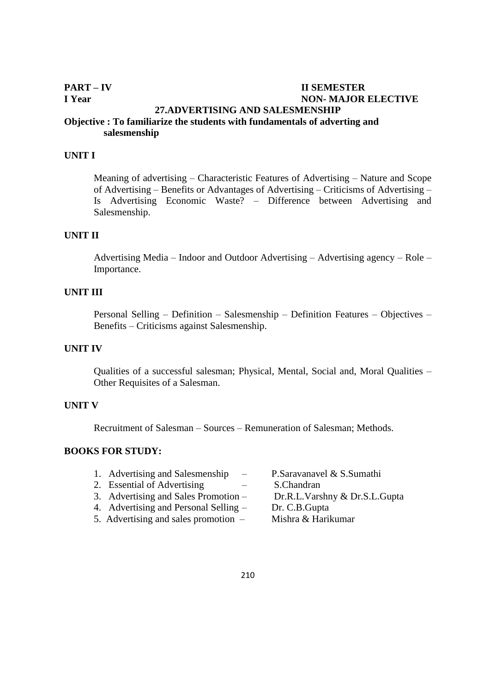# **PART – IV II SEMESTER I Year NON- MAJOR ELECTIVE 27.ADVERTISING AND SALESMENSHIP Objective : To familiarize the students with fundamentals of adverting and salesmenship**

#### **UNIT I**

Meaning of advertising – Characteristic Features of Advertising – Nature and Scope of Advertising – Benefits or Advantages of Advertising – Criticisms of Advertising – Is Advertising Economic Waste? – Difference between Advertising and Salesmenship.

#### **UNIT II**

Advertising Media – Indoor and Outdoor Advertising – Advertising agency – Role – Importance.

#### **UNIT III**

Personal Selling – Definition – Salesmenship – Definition Features – Objectives – Benefits – Criticisms against Salesmenship.

# **UNIT IV**

Qualities of a successful salesman; Physical, Mental, Social and, Moral Qualities – Other Requisites of a Salesman.

## **UNIT V**

Recruitment of Salesman – Sources – Remuneration of Salesman; Methods.

# **BOOKS FOR STUDY:**

| 1. Advertising and Salesmenship<br>$\overline{\phantom{m}}$ | P.Saravanavel & S.Sumathi     |
|-------------------------------------------------------------|-------------------------------|
| 2. Essential of Advertising                                 | S.Chandran                    |
| 3. Advertising and Sales Promotion –                        | Dr.R.L.Varshny & Dr.S.L.Gupta |
| 4. Advertising and Personal Selling –                       | Dr. C.B. Gupta                |
| 5. Advertising and sales promotion $-$                      | Mishra & Harikumar            |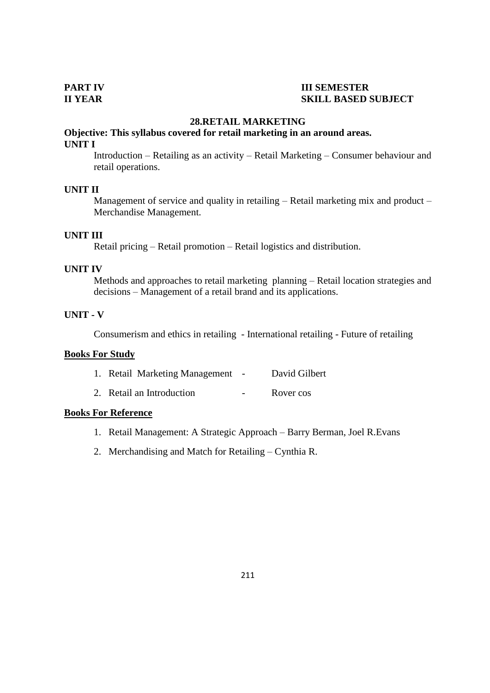# **PART IV III SEMESTER II YEAR SKILL BASED SUBJECT**

### **28.RETAIL MARKETING**

# **Objective: This syllabus covered for retail marketing in an around areas. UNIT I**

Introduction – Retailing as an activity – Retail Marketing – Consumer behaviour and retail operations.

## **UNIT II**

Management of service and quality in retailing – Retail marketing mix and product – Merchandise Management.

### **UNIT III**

Retail pricing – Retail promotion – Retail logistics and distribution.

#### **UNIT IV**

Methods and approaches to retail marketing planning – Retail location strategies and decisions – Management of a retail brand and its applications.

### **UNIT - V**

Consumerism and ethics in retailing - International retailing - Future of retailing

#### **Books For Study**

| 1. Retail Marketing Management | $\sim$ | David Gilbert |
|--------------------------------|--------|---------------|
| 2. Retail an Introduction      |        | Rover cos     |

# **Books For Reference**

- 1. Retail Management: A Strategic Approach Barry Berman, Joel R.Evans
- 2. Merchandising and Match for Retailing Cynthia R.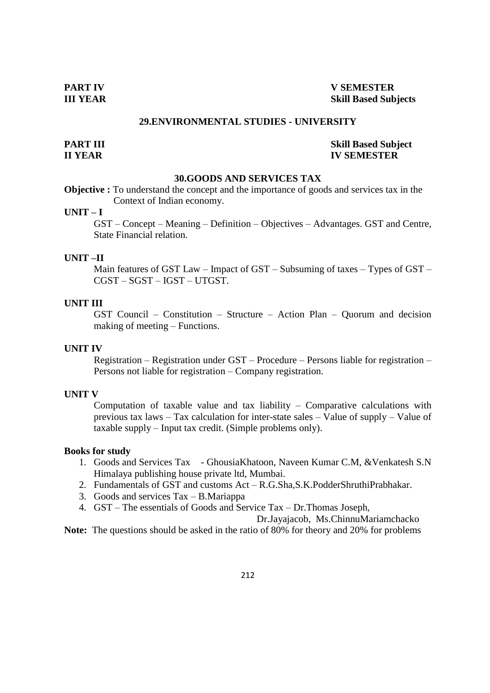# **PART IV V SEMESTER III YEAR Skill Based Subjects**

#### **29.ENVIRONMENTAL STUDIES - UNIVERSITY**

# **PART III** Skill Based Subject **II YEAR IV SEMESTER**

#### **30.GOODS AND SERVICES TAX**

**Objective :** To understand the concept and the importance of goods and services tax in the Context of Indian economy.

# **UNIT – I**

GST – Concept – Meaning – Definition – Objectives – Advantages. GST and Centre, State Financial relation.

### **UNIT –II**

Main features of GST Law – Impact of GST – Subsuming of taxes – Types of GST – CGST – SGST – IGST – UTGST.

### **UNIT III**

GST Council – Constitution – Structure – Action Plan – Quorum and decision making of meeting – Functions.

# **UNIT IV**

Registration – Registration under GST – Procedure – Persons liable for registration – Persons not liable for registration – Company registration.

### **UNIT V**

Computation of taxable value and tax liability – Comparative calculations with previous tax laws – Tax calculation for inter-state sales – Value of supply – Value of taxable supply – Input tax credit. (Simple problems only).

#### **Books for study**

- 1. Goods and Services Tax GhousiaKhatoon, Naveen Kumar C.M, &Venkatesh S.N Himalaya publishing house private ltd, Mumbai.
- 2. Fundamentals of GST and customs Act R.G.Sha,S.K.PodderShruthiPrabhakar.
- 3. Goods and services Tax B.Mariappa
- 4. GST The essentials of Goods and Service Tax Dr.Thomas Joseph,

Dr.Jayajacob, Ms.ChinnuMariamchacko

**Note:** The questions should be asked in the ratio of 80% for theory and 20% for problems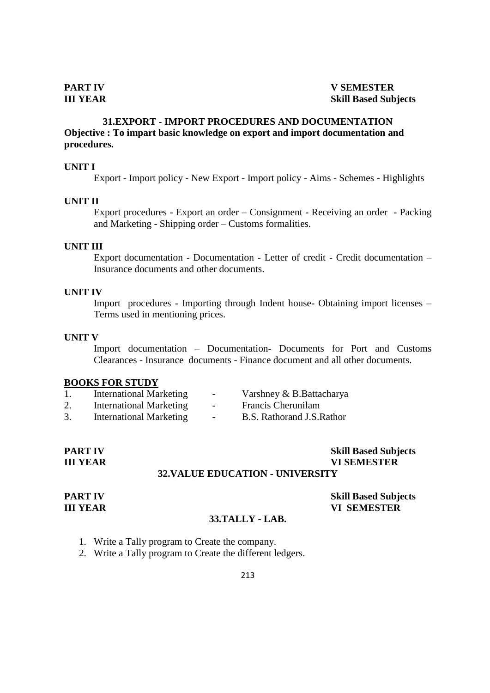# **31.EXPORT - IMPORT PROCEDURES AND DOCUMENTATION Objective : To impart basic knowledge on export and import documentation and procedures.**

#### **UNIT I**

Export - Import policy - New Export - Import policy - Aims - Schemes - Highlights

#### **UNIT II**

Export procedures - Export an order – Consignment - Receiving an order - Packing and Marketing - Shipping order – Customs formalities.

#### **UNIT III**

Export documentation - Documentation - Letter of credit - Credit documentation – Insurance documents and other documents.

#### **UNIT IV**

Import procedures - Importing through Indent house- Obtaining import licenses – Terms used in mentioning prices.

#### **UNIT V**

Import documentation – Documentation- Documents for Port and Customs Clearances - Insurance documents - Finance document and all other documents.

#### **BOOKS FOR STUDY**

|    | <b>International Marketing</b> | $\sim$                   | Varshney & B.Battacharya   |
|----|--------------------------------|--------------------------|----------------------------|
| 2. | <b>International Marketing</b> | $\overline{\phantom{a}}$ | Francis Cherunilam         |
|    | <b>International Marketing</b> | $\overline{\phantom{0}}$ | B.S. Rathorand J.S. Rathor |

| <b>PART IV</b>  | <b>Skill Based Subjects</b>             |
|-----------------|-----------------------------------------|
| <b>III YEAR</b> | <b>VI SEMESTER</b>                      |
|                 | <b>32. VALUE EDUCATION - UNIVERSITY</b> |

**PART IV Skill Based Subjects III YEAR VI SEMESTER**

# **33.TALLY - LAB.**

- 1. Write a Tally program to Create the company.
- 2. Write a Tally program to Create the different ledgers.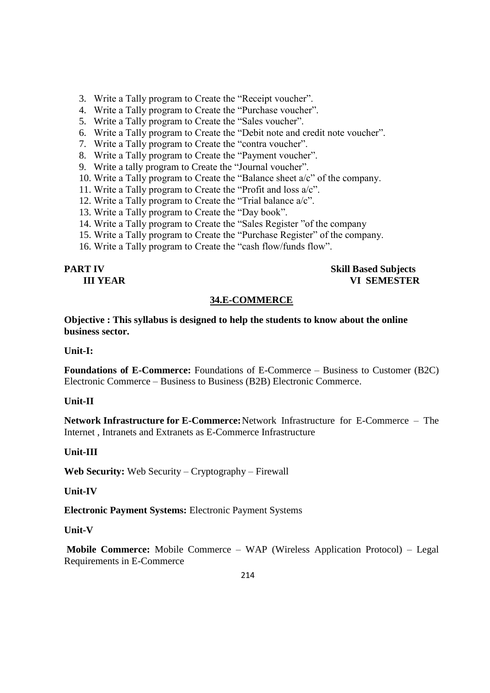- 3. Write a Tally program to Create the "Receipt voucher".
- 4. Write a Tally program to Create the "Purchase voucher".
- 5. Write a Tally program to Create the "Sales voucher".
- 6. Write a Tally program to Create the "Debit note and credit note voucher".
- 7. Write a Tally program to Create the "contra voucher".
- 8. Write a Tally program to Create the "Payment voucher".
- 9. Write a tally program to Create the "Journal voucher".
- 10. Write a Tally program to Create the "Balance sheet  $a/c$ " of the company.
- 11. Write a Tally program to Create the "Profit and loss  $a/c$ ".
- 12. Write a Tally program to Create the "Trial balance  $a/c$ ".
- 13. Write a Tally program to Create the "Day book".
- 14. Write a Tally program to Create the "Sales Register" of the company
- 15. Write a Tally program to Create the "Purchase Register" of the company.
- 16. Write a Tally program to Create the "cash flow/funds flow".

# **PART IV Skill Based Subjects III YEAR VI SEMESTER**

# **34.E-COMMERCE**

**Objective : This syllabus is designed to help the students to know about the online business sector.**

# **Unit-I:**

**Foundations of E-Commerce:** Foundations of E-Commerce – Business to Customer (B2C) Electronic Commerce – Business to Business (B2B) Electronic Commerce.

# **Unit-II**

**Network Infrastructure for E-Commerce:**Network Infrastructure for E-Commerce – The Internet , Intranets and Extranets as E-Commerce Infrastructure

# **Unit-III**

**Web Security:** Web Security – Cryptography – Firewall

# **Unit-IV**

**Electronic Payment Systems:** Electronic Payment Systems

# **Unit-V**

**Mobile Commerce:** Mobile Commerce – WAP (Wireless Application Protocol) – Legal Requirements in E-Commerce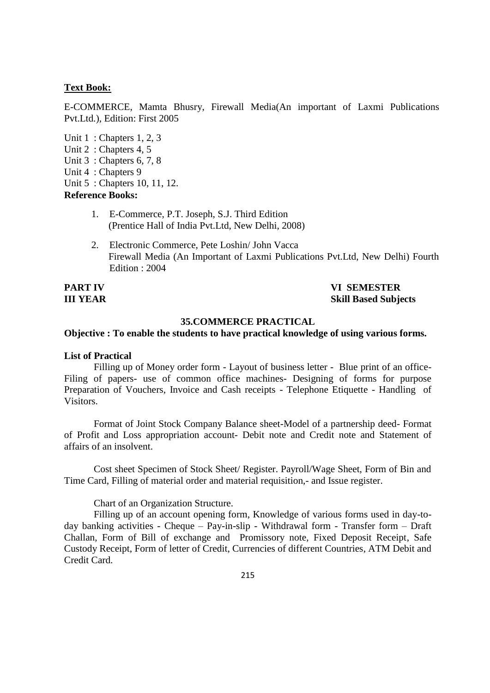#### **Text Book:**

E-COMMERCE, Mamta Bhusry, Firewall Media(An important of Laxmi Publications Pvt.Ltd.), Edition: First 2005

Unit 1 : Chapters 1, 2, 3 Unit 2 : Chapters 4, 5 Unit 3 : Chapters 6, 7, 8 Unit 4 : Chapters 9 Unit 5 : Chapters 10, 11, 12. **Reference Books:**

- 1. E-Commerce, P.T. Joseph, S.J. Third Edition (Prentice Hall of India Pvt.Ltd, New Delhi, 2008)
- 2. Electronic Commerce, Pete Loshin/ John Vacca Firewall Media (An Important of Laxmi Publications Pvt.Ltd, New Delhi) Fourth Edition : 2004

**PART IV VI SEMESTER III YEAR Skill Based Subjects**

# **35.COMMERCE PRACTICAL**

# **Objective : To enable the students to have practical knowledge of using various forms.**

#### **List of Practical**

Filling up of Money order form - Layout of business letter - Blue print of an office-Filing of papers- use of common office machines- Designing of forms for purpose Preparation of Vouchers, Invoice and Cash receipts - Telephone Etiquette - Handling of Visitors.

Format of Joint Stock Company Balance sheet-Model of a partnership deed- Format of Profit and Loss appropriation account- Debit note and Credit note and Statement of affairs of an insolvent.

Cost sheet Specimen of Stock Sheet/ Register. Payroll/Wage Sheet, Form of Bin and Time Card, Filling of material order and material requisition,- and Issue register.

#### Chart of an Organization Structure.

Filling up of an account opening form, Knowledge of various forms used in day-today banking activities - Cheque – Pay-in-slip - Withdrawal form - Transfer form – Draft Challan, Form of Bill of exchange and Promissory note, Fixed Deposit Receipt, Safe Custody Receipt, Form of letter of Credit, Currencies of different Countries, ATM Debit and Credit Card.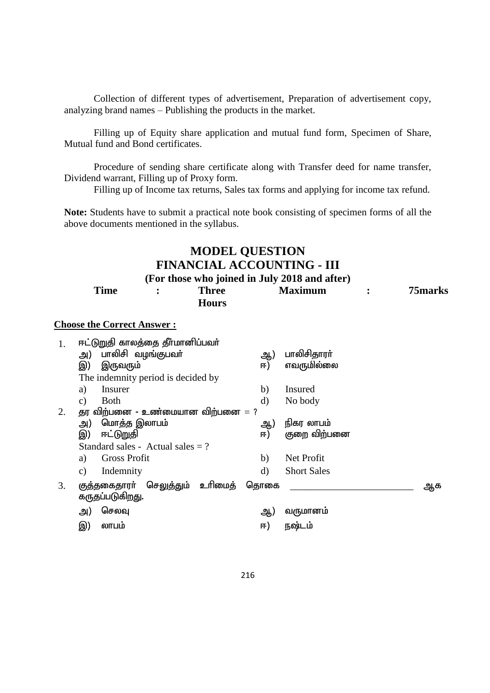Collection of different types of advertisement, Preparation of advertisement copy, analyzing brand names – Publishing the products in the market.

Filling up of Equity share application and mutual fund form, Specimen of Share, Mutual fund and Bond certificates.

Procedure of sending share certificate along with Transfer deed for name transfer, Dividend warrant, Filling up of Proxy form.

Filling up of Income tax returns, Sales tax forms and applying for income tax refund.

**Note:** Students have to submit a practical note book consisting of specimen forms of all the above documents mentioned in the syllabus.

# **MODEL QUESTION FINANCIAL ACCOUNTING - III (For those who joined in July 2018 and after)**

| Time                                          | <b>Three</b><br><b>Hours</b> | <b>Maximum</b> |  | 75 marks |
|-----------------------------------------------|------------------------------|----------------|--|----------|
| <b>Choose the Correct Answer:</b>             |                              |                |  |          |
| ஈட்டுறுதி காலத்தை தீா்மானிப்பவா்<br><u>ດດ</u> |                              | <u>ດດ</u>      |  |          |

|    | பாலிசி வழங்குபவா்<br>அ)                       | ஆ            | பாலிசிதாரா்        |    |
|----|-----------------------------------------------|--------------|--------------------|----|
|    | இ)<br>இருவரும்                                | ஈ)           | எவருமில்லை         |    |
|    | The indemnity period is decided by            |              |                    |    |
|    | Insurer<br>a)                                 | b)           | Insured            |    |
|    | <b>Both</b><br>C)                             | $\mathbf{d}$ | No body            |    |
| 2. | தர விற்பனை - உண்மையான விற்பனை $=$ ?           |              |                    |    |
|    | மொத்த இலாபம்<br>அ)                            | ஆ)           | நிகர லாபம்         |    |
|    | ஈட்டுறுதி<br>இ)                               | ஈ)           | குறை விற்பனை       |    |
|    | Standard sales - Actual sales $= ?$           |              |                    |    |
|    | <b>Gross Profit</b><br>a)                     | b)           | Net Profit         |    |
|    | Indemnity<br>c)                               | d)           | <b>Short Sales</b> |    |
| 3. | உரிமைத்<br>செலுத்தும்<br><u>குத்த</u> கைதாரர் | தொகை         |                    | ஆக |
|    | கருதப்படுகிறது.                               |              |                    |    |
|    | செலவு<br>அ)                                   | ஆ)           | வருமானம்           |    |
|    | லாபம்<br>இ)                                   | ஈ)           | நஷ்டம்             |    |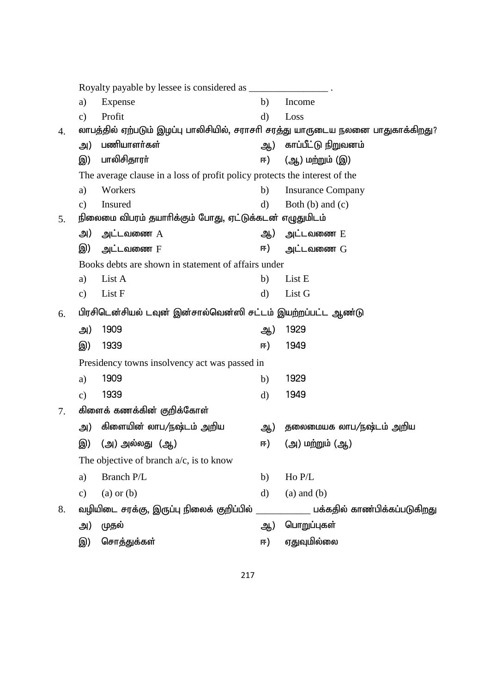|    | a)            | Expense                                                                         | b)           | Income                       |
|----|---------------|---------------------------------------------------------------------------------|--------------|------------------------------|
|    | $\mathbf{c})$ | Profit                                                                          | $\mathbf{d}$ | Loss                         |
| 4. |               | லாபத்தில் ஏற்படும் இழப்பு பாலிசியில், சராசரி சரத்து யாருடைய நலனை பாதுகாக்கிறது? |              |                              |
|    | அ)            | பணியாளர்கள்                                                                     | ஆ)           | காப்பீட்டு நிறுவனம்          |
|    | இ)            | பாலிசிதாரா்                                                                     | ஈ)           | (ஆ) மற்றும் (இ)              |
|    |               | The average clause in a loss of profit policy protects the interest of the      |              |                              |
|    | a)            | Workers                                                                         | b)           | <b>Insurance Company</b>     |
|    | $\mathbf{c})$ | Insured                                                                         | $\mathbf{d}$ | Both $(b)$ and $(c)$         |
| 5. |               | நிலைமை விபரம் தயாரிக்கும் போது, ஏட்டுக்கடன் எழுதுமிடம்                          |              |                              |
|    | அ)            | அட்டவணை $A$                                                                     | ஆ)           | அட்டவணை E                    |
|    | இ)            | அட்டவணை F                                                                       | ஈ)           | அட்டவணை G                    |
|    |               | Books debts are shown in statement of affairs under                             |              |                              |
|    | a)            | List A                                                                          | b)           | List E                       |
|    | $\mathbf{c})$ | List F                                                                          | $\mathbf{d}$ | List G                       |
| 6. |               | பிரசிடென்சியல் டவுன் இன்சால்வென்ஸி சட்டம் இயற்றப்பட்ட ஆண்டு                     |              |                              |
|    | அ)            | 1909                                                                            | ஆ)           | 1929                         |
|    | இ)            | 1939                                                                            | ஈ)           | 1949                         |
|    |               | Presidency towns insolvency act was passed in                                   |              |                              |
|    | a)            | 1909                                                                            | b)           | 1929                         |
|    | $\mathbf{c})$ | 1939                                                                            | $\mathbf{d}$ | 1949                         |
| 7. |               | கிளைக் கணக்கின் குறிக்கோள்                                                      |              |                              |
|    | அ)            | கிளையின் லாப/நஷ்டம் அறிய                                                        | ஆ)           | தலைமையக லாப/நஷ்டம் அறிய      |
|    | இ)            | (அ) அல்லது (ஆ)                                                                  | ஈ)           | (அ) மற்றும் (ஆ)              |
|    |               | The objective of branch $a/c$ , is to know                                      |              |                              |
|    | a)            | Branch P/L                                                                      | b)           | Ho P/L                       |
|    | $\mathbf{c})$ | $(a)$ or $(b)$                                                                  | $\mathbf{d}$ | $(a)$ and $(b)$              |
| 8. |               | வழியிடை சரக்கு, இருப்பு நிலைக் குறிப்பில்                                       |              | பக்கதில் காண்பிக்கப்படுகிறது |
|    | அ)            | முதல்                                                                           | ஆ)           | பொறுப்புகள்                  |
|    | இ)            | சொத்துக்கள்                                                                     | ஈ)           | ஏதுவுமில்லை                  |
|    |               |                                                                                 |              |                              |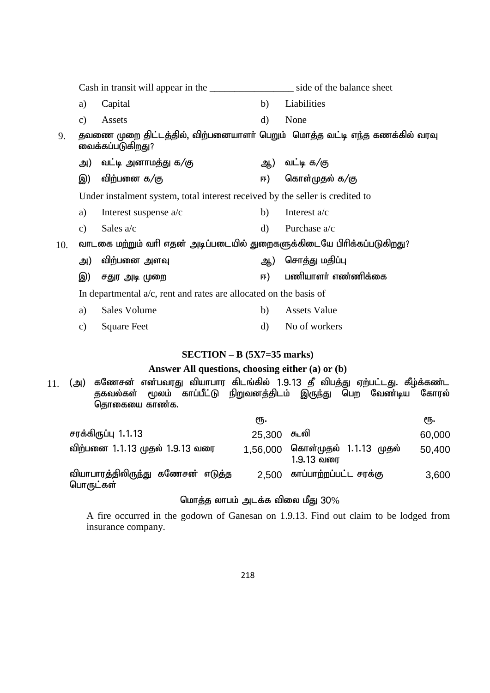Cash in transit will appear in the side of the balance sheet a) Capital b) Liabilities c) Assets d) None 9. தவணை முறை திட்டத்தில், விற்பனையாளர் பெறும் மொத்த வட்டி எந்த கணக்கில் வரவு வைக்கப்படுகிறது? அ) வட்டி அனாமத்து க/கு $\left( \right.$  கு $\left( \right.$  அ) வட்டி க/கு இ) விற்பனை க $/$ கு  $\left(5\right)$  காள்முதல் க $/$ கு Under instalment system, total interest received by the seller is credited to a) Interest suspense  $a/c$  b) Interest  $a/c$ c) Sales  $a/c$  d) Purchase  $a/c$  $10.$  வாடகை மற்றும் வரி எதன் அடிப்படையில் துறைகளுக்கிடையே பிரிக்கப்படுகிறது? m) tpw;gid msT M) nrhj;J kjpg;G ,) rJu mb Kiw <) gzpahsh; vz;zpf;if In departmental a/c, rent and rates are allocated on the basis of a) Sales Volume b) Assets Value c) Square Feet d) No of workers **SECTION – B (5X7=35 marks) Answer All questions, choosing either (a) or (b)** 11. (அ) கணேசன் என்பவரது வியாபார கிடங்கில் 1.9.13 தீ விபத்து ஏற்பட்டது. கீழ்க்கண்ட<br>குகவல்கள் மூலம் காப்பீட்டு நிறுவனக்கிடம் இருந்து பெற வேண்டிய கோரல் மூலம் காப்பீட்டு நிறுவனத்திடம் இருந்து பெற வேண்டிய கோரல் தொகையை காண்க.

|                                                | ιҧ.         |                                               | ιҧ.    |
|------------------------------------------------|-------------|-----------------------------------------------|--------|
| சரக்கிருப்பு 1.1.13                            | 25,300 கூலி |                                               | 60,000 |
| விற்பனை 1.1.13 முதல் 1.9.13 வரை                |             | 1,56,000 கொள்முதல் 1.1.13 முதல்<br>1.9.13 வரை | 50,400 |
| வியாபாரத்திலிருந்து கணேசன் எடுத்த<br>பொருட்கள் | 2.500       | காப்பாற்றப்பட்ட சரக்கு                        | 3,600  |

# மொத்த லாபம் அடக்க விலை மீது  $30\%$

A fire occurred in the godown of Ganesan on 1.9.13. Find out claim to be lodged from insurance company.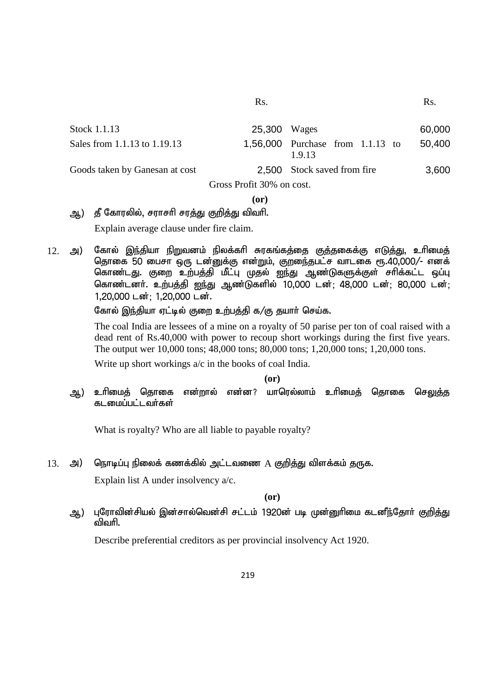| Stock 1.1.13                   | 25,300 Wages |                                            | 60,000 |  |  |
|--------------------------------|--------------|--------------------------------------------|--------|--|--|
| Sales from 1.1.13 to 1.19.13   |              | 1,56,000 Purchase from 1.1.13 to<br>1.9.13 | 50,400 |  |  |
| Goods taken by Ganesan at cost |              | 2,500 Stock saved from fire                | 3,600  |  |  |
| Gross Profit 30% on cost.      |              |                                            |        |  |  |

#### **(or)**

# ஆ) தீ கோரலில், சராசரி சரத்து குறித்து விவரி.

Explain average clause under fire claim.

 $12$ . அ) கோல் இந்தியா நிறுவனம் நிலக்கரி சுரகங்கத்தை குத்தகைக்கு எடுத்து, உரிமைத் தொகை 50 பைசா ஒரு டன்னுக்கு என்றும், குறுைந்தபட்ச வாடகை ரூ.40,000/- எனக் கொண்டது. குறை உற்பத்தி மீட்பு முதல் ஐந்து ஆண்டுகளுக்குள் சாிக்கட்ட ஒப்பு கொண்டனர். உற்பத்தி ஐந்து ஆண்டுகளில் 10,000 டன்; 48,000 டன்; 80,000 டன்; 1,20,000 டன்; 1,20,000 டன்.

கோல் இந்தியா ஏட்டில் குறை உற்பத்தி க/கு தயார் செய்க.

The coal India are lessees of a mine on a royalty of 50 parise per ton of coal raised with a dead rent of Rs.40,000 with power to recoup short workings during the first five years. The output wer 10,000 tons; 48,000 tons; 80,000 tons; 1,20,000 tons; 1,20,000 tons.

Write up short workings a/c in the books of coal India.

#### **(or)**

ஆ) உரிமைத் தொகை என்றால் என்ன? யாரெல்லாம் உரிமைத் தொகை செலுத்த கடமைப்பட்டவர்கள்

What is royalty? Who are all liable to payable royalty?

13. அ) நொடிப்பு நிலைக் கணக்கில் அட்டவணை  $A$  குறித்து விளக்கம் தருக.

Explain list A under insolvency a/c.

**(or)**

ஆ) புரோவின்சியல் இன்சால்வென்சி சட்டம் 1920ன் படி முன்னுரிமை கடனீந்தோர் கு<u>றித்து</u> விவரி.

Describe preferential creditors as per provincial insolvency Act 1920.

Rs. Rs.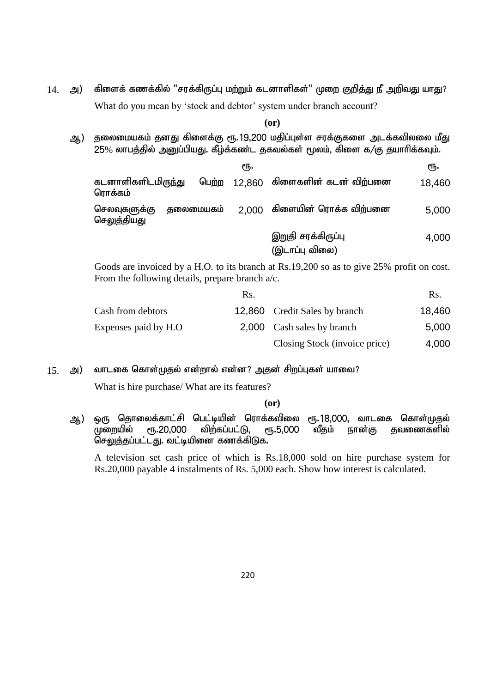$14.$  அ) கிளைக் கணக்கில் "சரக்கிருப்பு மற்றும் கடனாளிகள்" முறை குறித்து நீ அறிவது யாது? What do you mean by 'stock and debtor' system under branch account?

**(or)**

ஆ) தலைமையகம் தனது கிளைக்கு ரூ.19,200 மதிப்புள்ள சரக்குகளை அடக்கவிலலை மீது  $25\%$  லாபத்தில் அனுப்பியது. கீழ்க்கண்ட தகவல்கள் மூலம், கிளை க/கு தயாரிக்கவும்.

|                                        |           | ςҧ.   |                                     | ςҧ.    |
|----------------------------------------|-----------|-------|-------------------------------------|--------|
| கடனாளிகளிடமிரு <u>ந்த</u> ு<br>ரொக்கம் |           |       | பெற்ற 12,860 கிளைகளின் கடன் விற்பனை | 18,460 |
| செலவுகளுக்கு<br>செலுத்தியது            | தலைமையகம் | 2.000 | கிளையின் ரொக்க விற்பனை              | 5,000  |
|                                        |           |       | இறுதி சரக்கிருப்பு                  | 4,000  |

(இடாப்பு விலை)

Goods are invoiced by a H.O. to its branch at Rs.19,200 so as to give 25% profit on cost. From the following details, prepare branch a/c.

|                      | Rs. |                               | Rs.    |
|----------------------|-----|-------------------------------|--------|
| Cash from debtors    |     | 12,860 Credit Sales by branch | 18,460 |
| Expenses paid by H.O |     | 2,000 Cash sales by branch    | 5,000  |
|                      |     | Closing Stock (invoice price) | 4,000  |

 $15.$  அ) வாடகை கொள்முதல் என்றால் என்ன? அதன் சிறப்புகள் யாவை?

What is hire purchase/ What are its features?

#### **(or)**

ஆ) ஒரு தொலைக்காட்சி பெட்டியின் ரொக்கவிலை ரூ.18,000, வாடகை கொள்முதல் முறையில் ரூ.20,000 விற்கப்பட்டு, ரூ.5,000 வீதம் நான்கு தவணைகளில் <u>செலுத்த</u>ப்பட்டது. வட்டியினை கணக்கிடுக.

A television set cash price of which is Rs.18,000 sold on hire purchase system for Rs.20,000 payable 4 instalments of Rs. 5,000 each. Show how interest is calculated.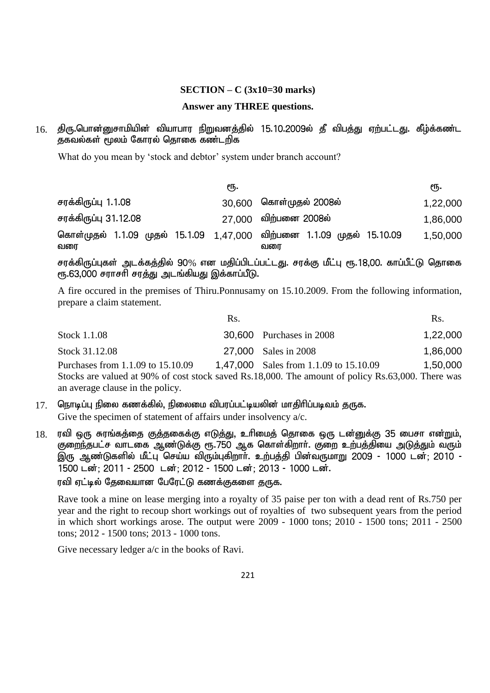#### **SECTION – C (3x10=30 marks)**

#### **Answer any THREE questions.**

# 16. திரு.பொன்னுசாமியின் வியாபார நிறுவனத்தில் 15.10.2009ல் தீ விபத்து ஏற்பட்டது. கீழ்க்கண்ட துகவல்கள் மூலம் கோரல் தொகை கண்டறிக

What do you mean by 'stock and debtor' system under branch account?

|                                                                              | €Ҧ. |                         | €Ҧ.      |
|------------------------------------------------------------------------------|-----|-------------------------|----------|
| சரக்கிருப்பு 1.1.08                                                          |     | 30,600 கொள்முதல் 2008ல் | 1,22,000 |
| சரக்கிருப்பு 31.12.08                                                        |     | 27,000 விற்பனை 2008ல்   | 1,86,000 |
| கொள்முதல் 1.1.09 முதல் 15.1.09 1,47,000 விற்பனை 1.1.09 முதல் 15.10.09<br>வரை |     | வரை                     | 1,50,000 |

சரக்கிருப்புகள் அடக்கத்தில் 90% என மதிப்பிடப்பட்டது. சரக்கு மீட்பு ரூ.18,00. காப்பீட்டு தொகை ரூ.63,000 சராசரி சரத்து அடங்கியது இக்காப்பீடு.

A fire occured in the premises of Thiru.Ponnusamy on 15.10.2009. From the following information, prepare a claim statement.

|                                   | Rs. |                                                                                                   | Rs.      |
|-----------------------------------|-----|---------------------------------------------------------------------------------------------------|----------|
| Stock 1.1.08                      |     | <b>30,600</b> Purchases in 2008                                                                   | 1,22,000 |
| Stock 31.12.08                    |     | 27,000 Sales in 2008                                                                              | 1,86,000 |
| Purchases from 1.1.09 to 15.10.09 |     | 1,47,000 Sales from 1.1.09 to 15.10.09                                                            | 1,50,000 |
|                                   |     | Stocks are valued at 90% of cost stock saved Rs.18,000. The amount of policy Rs.63,000. There was |          |
| an average clause in the policy.  |     |                                                                                                   |          |

- $17$ . ொொடிப்பு நிலை கணக்கில், நிலைமை விபரப்பட்டியலின் மாதிரிப்படிவம் குருக. Give the specimen of statement of affairs under insolvency  $a/c$ .
- $18$ . ரவி ஒரு சுரங்கத்தை குத்தகைக்கு எடுத்து, உரிமைத் தொகை ஒரு டன்னுக்கு 35 பைசா என்றும், .<br>குறைந்தபட்ச வாடகை ஆண்டுக்கு ரூ.750 ஆக கொள்கிறார். குறை உற்பத்தியை அடுத்தும் வரும் இரு ஆண்டுகளில் மீட்பு செய்ய விரும்புகிறாா். உற்பத்தி பின்வருமாறு 2009 - 1000 டன்: 2010 -1500 டன்; 2011 - 2500 டன்; 2012 - 1500 டன்; 2013 - 1000 டன்.

ரவி ஏட்டில் தேவையான பேரேட்டு கணக்குகளை தருக.

Rave took a mine on lease merging into a royalty of 35 paise per ton with a dead rent of Rs.750 per year and the right to recoup short workings out of royalties of two subsequent years from the period in which short workings arose. The output were 2009 - 1000 tons; 2010 - 1500 tons; 2011 - 2500 tons; 2012 - 1500 tons; 2013 - 1000 tons.

Give necessary ledger  $a/c$  in the books of Ravi.